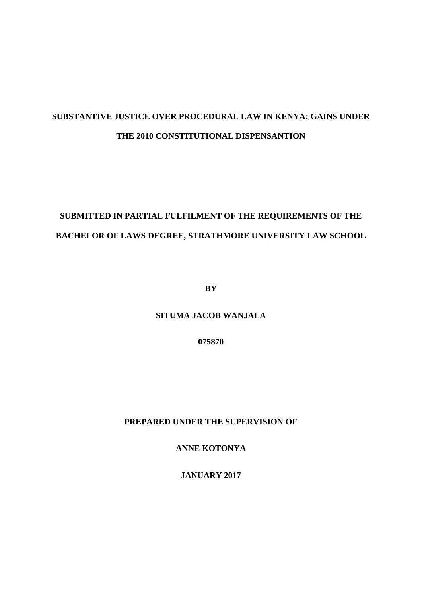# **SUBSTANTIVE JUSTICE OVER PROCEDURAL LAW IN KENYA; GAINS UNDER THE 2010 CONSTITUTIONAL DISPENSANTION**

# **SUBMITTED IN PARTIAL FULFILMENT OF THE REQUIREMENTS OF THE BACHELOR OF LAWS DEGREE, STRATHMORE UNIVERSITY LAW SCHOOL**

**BY**

**SITUMA JACOB WANJALA**

**075870**

**PREPARED UNDER THE SUPERVISION OF** 

**ANNE KOTONYA**

**JANUARY 2017**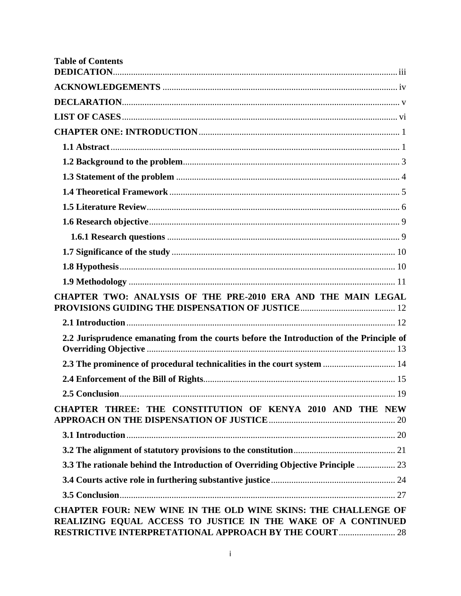| <b>Table of Contents</b>                                                                                                                                                                        |    |
|-------------------------------------------------------------------------------------------------------------------------------------------------------------------------------------------------|----|
|                                                                                                                                                                                                 |    |
|                                                                                                                                                                                                 |    |
|                                                                                                                                                                                                 |    |
|                                                                                                                                                                                                 |    |
|                                                                                                                                                                                                 |    |
|                                                                                                                                                                                                 |    |
|                                                                                                                                                                                                 |    |
|                                                                                                                                                                                                 |    |
|                                                                                                                                                                                                 |    |
|                                                                                                                                                                                                 |    |
|                                                                                                                                                                                                 |    |
|                                                                                                                                                                                                 |    |
|                                                                                                                                                                                                 |    |
|                                                                                                                                                                                                 |    |
| CHAPTER TWO: ANALYSIS OF THE PRE-2010 ERA AND THE MAIN LEGAL                                                                                                                                    |    |
|                                                                                                                                                                                                 |    |
| 2.2 Jurisprudence emanating from the courts before the Introduction of the Principle of                                                                                                         |    |
| 2.3 The prominence of procedural technicalities in the court system  14                                                                                                                         |    |
|                                                                                                                                                                                                 |    |
| 2.5 Conclusion                                                                                                                                                                                  | 19 |
| CHAPTER THREE: THE CONSTITUTION OF KENYA 2010 AND THE NEW                                                                                                                                       |    |
|                                                                                                                                                                                                 |    |
|                                                                                                                                                                                                 |    |
| 3.3 The rationale behind the Introduction of Overriding Objective Principle  23                                                                                                                 |    |
|                                                                                                                                                                                                 |    |
|                                                                                                                                                                                                 |    |
| CHAPTER FOUR: NEW WINE IN THE OLD WINE SKINS: THE CHALLENGE OF<br>REALIZING EQUAL ACCESS TO JUSTICE IN THE WAKE OF A CONTINUED<br><b>RESTRICTIVE INTERPRETATIONAL APPROACH BY THE COURT  28</b> |    |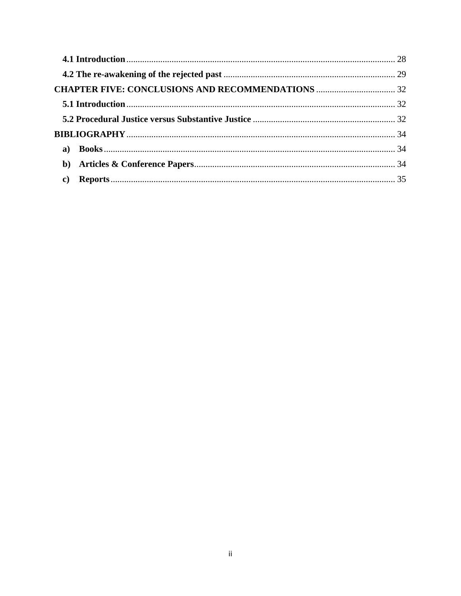| $\mathbf{c})$ |  |
|---------------|--|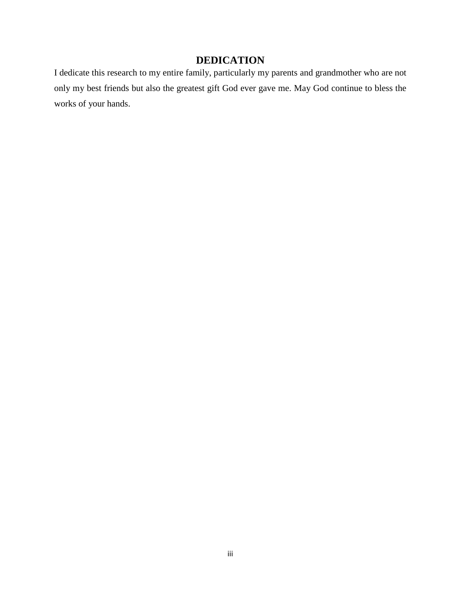# **DEDICATION**

<span id="page-3-0"></span>I dedicate this research to my entire family, particularly my parents and grandmother who are not only my best friends but also the greatest gift God ever gave me. May God continue to bless the works of your hands.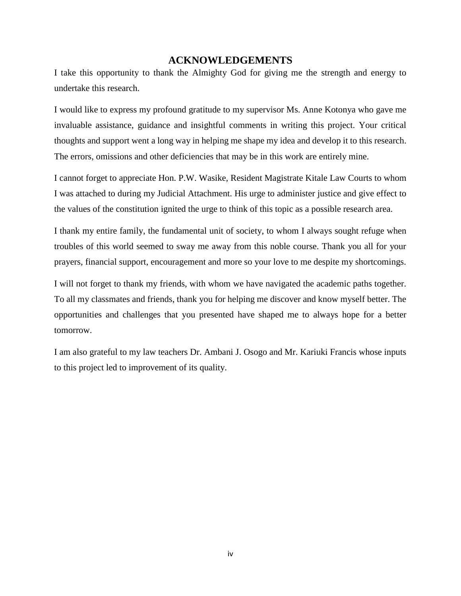## **ACKNOWLEDGEMENTS**

<span id="page-4-0"></span>I take this opportunity to thank the Almighty God for giving me the strength and energy to undertake this research.

I would like to express my profound gratitude to my supervisor Ms. Anne Kotonya who gave me invaluable assistance, guidance and insightful comments in writing this project. Your critical thoughts and support went a long way in helping me shape my idea and develop it to this research. The errors, omissions and other deficiencies that may be in this work are entirely mine.

I cannot forget to appreciate Hon. P.W. Wasike, Resident Magistrate Kitale Law Courts to whom I was attached to during my Judicial Attachment. His urge to administer justice and give effect to the values of the constitution ignited the urge to think of this topic as a possible research area.

I thank my entire family, the fundamental unit of society, to whom I always sought refuge when troubles of this world seemed to sway me away from this noble course. Thank you all for your prayers, financial support, encouragement and more so your love to me despite my shortcomings.

I will not forget to thank my friends, with whom we have navigated the academic paths together. To all my classmates and friends, thank you for helping me discover and know myself better. The opportunities and challenges that you presented have shaped me to always hope for a better tomorrow.

I am also grateful to my law teachers Dr. Ambani J. Osogo and Mr. Kariuki Francis whose inputs to this project led to improvement of its quality.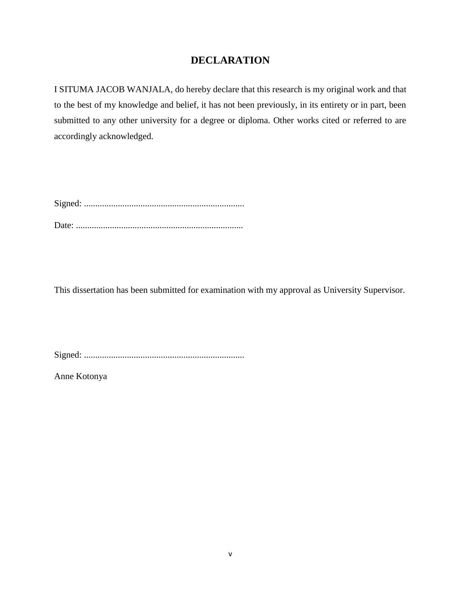# **DECLARATION**

<span id="page-5-0"></span>I SITUMA JACOB WANJALA, do hereby declare that this research is my original work and that to the best of my knowledge and belief, it has not been previously, in its entirety or in part, been submitted to any other university for a degree or diploma. Other works cited or referred to are accordingly acknowledged.

Signed: ....................................................................... Date: ..........................................................................

This dissertation has been submitted for examination with my approval as University Supervisor.

Signed: .......................................................................

Anne Kotonya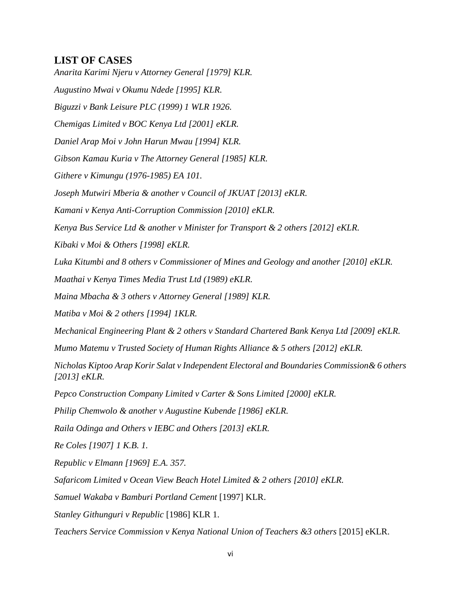# <span id="page-6-0"></span>**LIST OF CASES**

*Anarita Karimi Njeru v Attorney General [1979] KLR. Augustino Mwai v Okumu Ndede [1995] KLR. Biguzzi v Bank Leisure PLC (1999) 1 WLR 1926. Chemigas Limited v BOC Kenya Ltd [2001] eKLR. Daniel Arap Moi v John Harun Mwau [1994] KLR. Gibson Kamau Kuria v The Attorney General [1985] KLR. Githere v Kimungu (1976-1985) EA 101. Joseph Mutwiri Mberia & another v Council of JKUAT [2013] eKLR. Kamani v Kenya Anti-Corruption Commission [2010] eKLR. Kenya Bus Service Ltd & another v Minister for Transport & 2 others [2012] eKLR. Kibaki v Moi & Others [1998] eKLR. Luka Kitumbi and 8 others v Commissioner of Mines and Geology and another [2010] eKLR. Maathai v Kenya Times Media Trust Ltd (1989) eKLR. Maina Mbacha & 3 others v Attorney General [1989] KLR. Matiba v Moi & 2 others [1994] 1KLR. Mechanical Engineering Plant & 2 others v Standard Chartered Bank Kenya Ltd [2009] eKLR. Mumo Matemu v Trusted Society of Human Rights Alliance & 5 others [2012] eKLR. Nicholas Kiptoo Arap Korir Salat v Independent Electoral and Boundaries Commission& 6 others [2013] eKLR. Pepco Construction Company Limited v Carter & Sons Limited [2000] eKLR. Philip Chemwolo & another v Augustine Kubende [1986] eKLR. Raila Odinga and Others v IEBC and Others [2013] eKLR. Re Coles [1907] 1 K.B. 1. Republic v Elmann [1969] E.A. 357. Safaricom Limited v Ocean View Beach Hotel Limited & 2 others [2010] eKLR. Samuel Wakaba v Bamburi Portland Cement* [1997] KLR. *Stanley Githunguri v Republic* [1986] KLR 1. *Teachers Service Commission v Kenya National Union of Teachers &3 others* [2015] eKLR.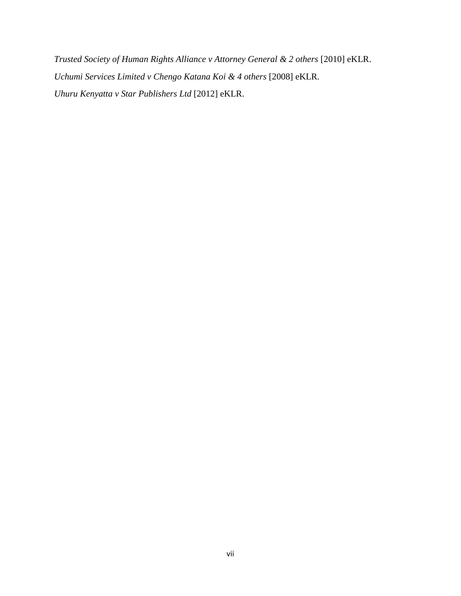*Trusted Society of Human Rights Alliance v Attorney General & 2 others* [2010] eKLR. *Uchumi Services Limited v Chengo Katana Koi & 4 others* [2008] eKLR. *Uhuru Kenyatta v Star Publishers Ltd* [2012] eKLR.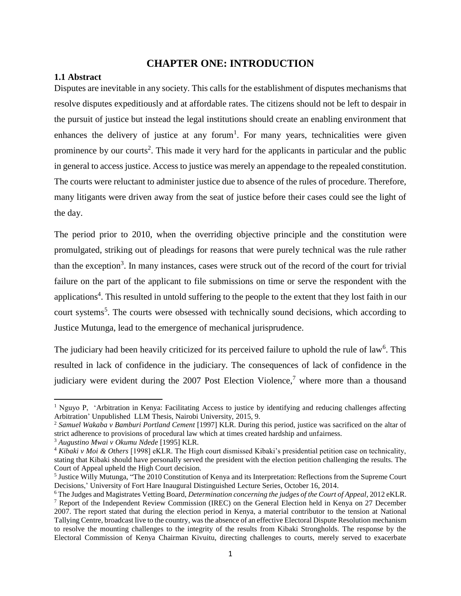# **CHAPTER ONE: INTRODUCTION**

#### <span id="page-8-1"></span><span id="page-8-0"></span>**1.1 Abstract**

Disputes are inevitable in any society. This calls for the establishment of disputes mechanisms that resolve disputes expeditiously and at affordable rates. The citizens should not be left to despair in the pursuit of justice but instead the legal institutions should create an enabling environment that enhances the delivery of justice at any forum<sup>1</sup>. For many years, technicalities were given prominence by our courts<sup>2</sup>. This made it very hard for the applicants in particular and the public in general to access justice. Access to justice was merely an appendage to the repealed constitution. The courts were reluctant to administer justice due to absence of the rules of procedure. Therefore, many litigants were driven away from the seat of justice before their cases could see the light of the day.

The period prior to 2010, when the overriding objective principle and the constitution were promulgated, striking out of pleadings for reasons that were purely technical was the rule rather than the exception<sup>3</sup>. In many instances, cases were struck out of the record of the court for trivial failure on the part of the applicant to file submissions on time or serve the respondent with the applications<sup>4</sup>. This resulted in untold suffering to the people to the extent that they lost faith in our court systems<sup>5</sup>. The courts were obsessed with technically sound decisions, which according to Justice Mutunga, lead to the emergence of mechanical jurisprudence.

The judiciary had been heavily criticized for its perceived failure to uphold the rule of law<sup>6</sup>. This resulted in lack of confidence in the judiciary. The consequences of lack of confidence in the judiciary were evident during the 2007 Post Election Violence,<sup>7</sup> where more than a thousand

<sup>&</sup>lt;sup>1</sup> Nguyo P, 'Arbitration in Kenya: Facilitating Access to justice by identifying and reducing challenges affecting Arbitration' Unpublished LLM Thesis, Nairobi University, 2015, 9.

<sup>2</sup> *Samuel Wakaba v Bamburi Portland Cement* [1997] KLR. During this period, justice was sacrificed on the altar of strict adherence to provisions of procedural law which at times created hardship and unfairness.

<sup>3</sup> *Augustino Mwai v Okumu Ndede* [1995] KLR.

<sup>4</sup> *Kibaki v Moi & Others* [1998] eKLR. The High court dismissed Kibaki's presidential petition case on technicality, stating that Kibaki should have personally served the president with the election petition challenging the results. The Court of Appeal upheld the High Court decision.

<sup>&</sup>lt;sup>5</sup> Justice Willy Mutunga, "The 2010 Constitution of Kenya and its Interpretation: Reflections from the Supreme Court Decisions,' University of Fort Hare Inaugural Distinguished Lecture Series, October 16, 2014.

<sup>6</sup> The Judges and Magistrates Vetting Board, *Determination concerning the judges of the Court of Appeal*, 2012 eKLR. <sup>7</sup> Report of the Independent Review Commission (IREC) on the General Election held in Kenya on 27 December 2007. The report stated that during the election period in Kenya, a material contributor to the tension at National Tallying Centre, broadcast live to the country, was the absence of an effective Electoral Dispute Resolution mechanism to resolve the mounting challenges to the integrity of the results from Kibaki Strongholds. The response by the Electoral Commission of Kenya Chairman Kivuitu, directing challenges to courts, merely served to exacerbate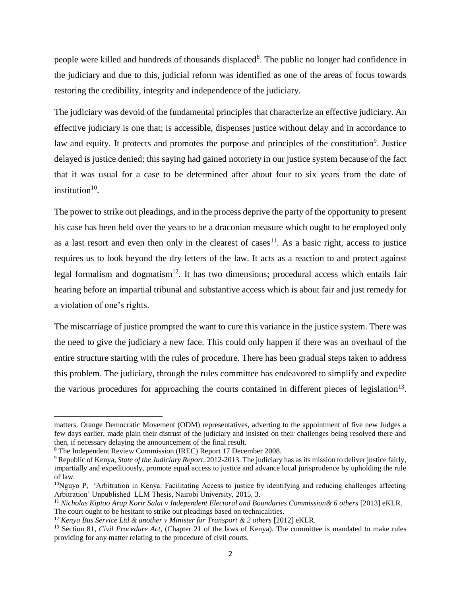people were killed and hundreds of thousands displaced<sup>8</sup>. The public no longer had confidence in the judiciary and due to this, judicial reform was identified as one of the areas of focus towards restoring the credibility, integrity and independence of the judiciary.

The judiciary was devoid of the fundamental principles that characterize an effective judiciary. An effective judiciary is one that; is accessible, dispenses justice without delay and in accordance to law and equity. It protects and promotes the purpose and principles of the constitution<sup>9</sup>. Justice delayed is justice denied; this saying had gained notoriety in our justice system because of the fact that it was usual for a case to be determined after about four to six years from the date of institution $10$ .

The power to strike out pleadings, and in the process deprive the party of the opportunity to present his case has been held over the years to be a draconian measure which ought to be employed only as a last resort and even then only in the clearest of cases<sup>11</sup>. As a basic right, access to justice requires us to look beyond the dry letters of the law. It acts as a reaction to and protect against legal formalism and dogmatism<sup>12</sup>. It has two dimensions; procedural access which entails fair hearing before an impartial tribunal and substantive access which is about fair and just remedy for a violation of one's rights.

The miscarriage of justice prompted the want to cure this variance in the justice system. There was the need to give the judiciary a new face. This could only happen if there was an overhaul of the entire structure starting with the rules of procedure. There has been gradual steps taken to address this problem. The judiciary, through the rules committee has endeavored to simplify and expedite the various procedures for approaching the courts contained in different pieces of legislation<sup>13</sup>.

matters. Orange Democratic Movement (ODM) representatives, adverting to the appointment of five new Judges a few days earlier, made plain their distrust of the judiciary and insisted on their challenges being resolved there and then, if necessary delaying the announcement of the final result.

<sup>8</sup> The Independent Review Commission (IREC) Report 17 December 2008.

<sup>9</sup> Republic of Kenya, *State of the Judiciary Report,* 2012-2013. The judiciary has as its mission to deliver justice fairly, impartially and expeditiously, promote equal access to justice and advance local jurisprudence by upholding the rule of law.

 $10$ Nguyo P, 'Arbitration in Kenya: Facilitating Access to justice by identifying and reducing challenges affecting Arbitration' Unpublished LLM Thesis, Nairobi University, 2015, 3.

<sup>11</sup> *Nicholas Kiptoo Arap Korir Salat v Independent Electoral and Boundaries Commission& 6 others* [2013] eKLR. The court ought to be hesitant to strike out pleadings based on technicalities.

<sup>12</sup> *Kenya Bus Service Ltd & another v Minister for Transport & 2 others* [2012] eKLR.

<sup>&</sup>lt;sup>13</sup> Section 81, *Civil Procedure Act*, (Chapter 21 of the laws of Kenya). The committee is mandated to make rules providing for any matter relating to the procedure of civil courts.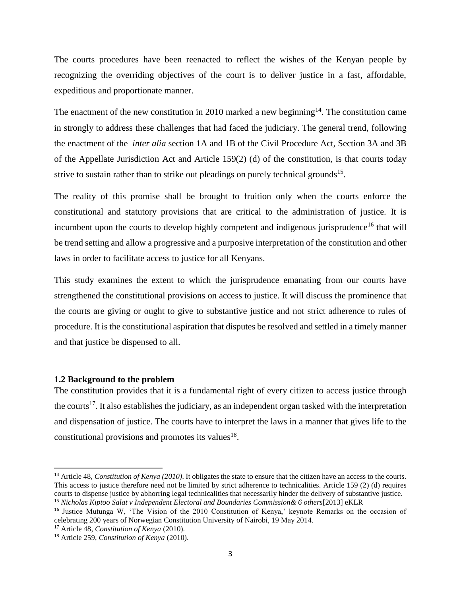The courts procedures have been reenacted to reflect the wishes of the Kenyan people by recognizing the overriding objectives of the court is to deliver justice in a fast, affordable, expeditious and proportionate manner.

The enactment of the new constitution in 2010 marked a new beginning<sup>14</sup>. The constitution came in strongly to address these challenges that had faced the judiciary. The general trend, following the enactment of the *inter alia* section 1A and 1B of the Civil Procedure Act, Section 3A and 3B of the Appellate Jurisdiction Act and Article 159(2) (d) of the constitution, is that courts today strive to sustain rather than to strike out pleadings on purely technical grounds<sup>15</sup>.

The reality of this promise shall be brought to fruition only when the courts enforce the constitutional and statutory provisions that are critical to the administration of justice. It is incumbent upon the courts to develop highly competent and indigenous jurisprudence<sup>16</sup> that will be trend setting and allow a progressive and a purposive interpretation of the constitution and other laws in order to facilitate access to justice for all Kenyans.

This study examines the extent to which the jurisprudence emanating from our courts have strengthened the constitutional provisions on access to justice. It will discuss the prominence that the courts are giving or ought to give to substantive justice and not strict adherence to rules of procedure. It is the constitutional aspiration that disputes be resolved and settled in a timely manner and that justice be dispensed to all.

#### <span id="page-10-0"></span>**1.2 Background to the problem**

l

The constitution provides that it is a fundamental right of every citizen to access justice through the courts<sup>17</sup>. It also establishes the judiciary, as an independent organ tasked with the interpretation and dispensation of justice. The courts have to interpret the laws in a manner that gives life to the constitutional provisions and promotes its values $^{18}$ .

<sup>&</sup>lt;sup>14</sup> Article 48, *Constitution of Kenya (2010)*. It obligates the state to ensure that the citizen have an access to the courts. This access to justice therefore need not be limited by strict adherence to technicalities. Article 159 (2) (d) requires courts to dispense justice by abhorring legal technicalities that necessarily hinder the delivery of substantive justice.

<sup>15</sup> *Nicholas Kiptoo Salat v Independent Electoral and Boundaries Commission& 6 others*[2013] eKLR

<sup>&</sup>lt;sup>16</sup> Justice Mutunga W, 'The Vision of the 2010 Constitution of Kenya,' keynote Remarks on the occasion of celebrating 200 years of Norwegian Constitution University of Nairobi, 19 May 2014.

<sup>17</sup> Article 48, *Constitution of Kenya* (2010).

<sup>18</sup> Article 259, *Constitution of Kenya* (2010).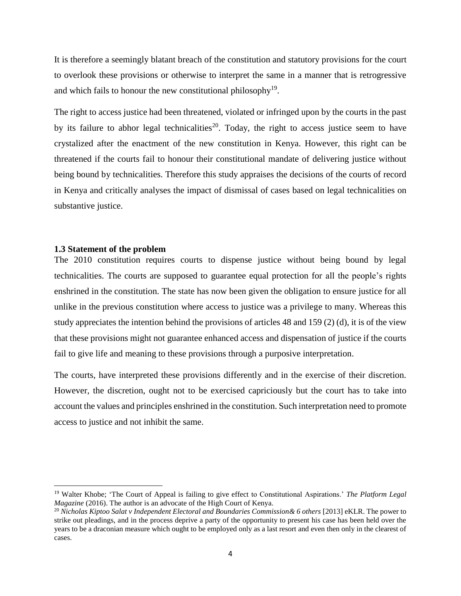It is therefore a seemingly blatant breach of the constitution and statutory provisions for the court to overlook these provisions or otherwise to interpret the same in a manner that is retrogressive and which fails to honour the new constitutional philosophy<sup>19</sup>.

The right to access justice had been threatened, violated or infringed upon by the courts in the past by its failure to abhor legal technicalities<sup>20</sup>. Today, the right to access justice seem to have crystalized after the enactment of the new constitution in Kenya. However, this right can be threatened if the courts fail to honour their constitutional mandate of delivering justice without being bound by technicalities. Therefore this study appraises the decisions of the courts of record in Kenya and critically analyses the impact of dismissal of cases based on legal technicalities on substantive justice.

#### <span id="page-11-0"></span>**1.3 Statement of the problem**

l

The 2010 constitution requires courts to dispense justice without being bound by legal technicalities. The courts are supposed to guarantee equal protection for all the people's rights enshrined in the constitution. The state has now been given the obligation to ensure justice for all unlike in the previous constitution where access to justice was a privilege to many. Whereas this study appreciates the intention behind the provisions of articles 48 and 159 (2) (d), it is of the view that these provisions might not guarantee enhanced access and dispensation of justice if the courts fail to give life and meaning to these provisions through a purposive interpretation.

The courts, have interpreted these provisions differently and in the exercise of their discretion. However, the discretion, ought not to be exercised capriciously but the court has to take into account the values and principles enshrined in the constitution. Such interpretation need to promote access to justice and not inhibit the same.

<sup>19</sup> Walter Khobe; 'The Court of Appeal is failing to give effect to Constitutional Aspirations.' *The Platform Legal Magazine* (2016). The author is an advocate of the High Court of Kenya.

<sup>20</sup> *Nicholas Kiptoo Salat v Independent Electoral and Boundaries Commission& 6 others* [2013] eKLR. The power to strike out pleadings, and in the process deprive a party of the opportunity to present his case has been held over the years to be a draconian measure which ought to be employed only as a last resort and even then only in the clearest of cases.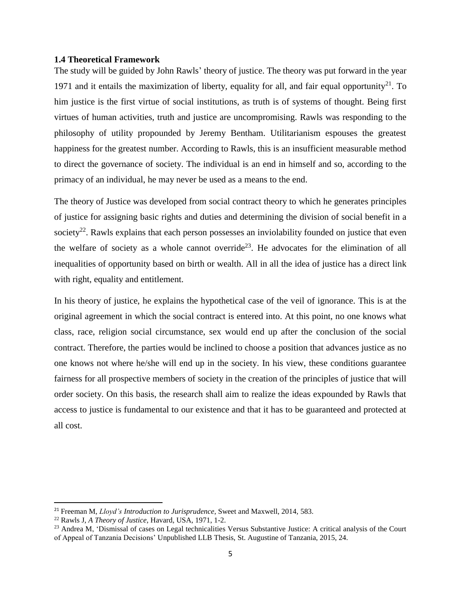#### <span id="page-12-0"></span>**1.4 Theoretical Framework**

The study will be guided by John Rawls' theory of justice. The theory was put forward in the year 1971 and it entails the maximization of liberty, equality for all, and fair equal opportunity<sup>21</sup>. To him justice is the first virtue of social institutions, as truth is of systems of thought. Being first virtues of human activities, truth and justice are uncompromising. Rawls was responding to the philosophy of utility propounded by Jeremy Bentham. Utilitarianism espouses the greatest happiness for the greatest number. According to Rawls, this is an insufficient measurable method to direct the governance of society. The individual is an end in himself and so, according to the primacy of an individual, he may never be used as a means to the end.

The theory of Justice was developed from social contract theory to which he generates principles of justice for assigning basic rights and duties and determining the division of social benefit in a society<sup>22</sup>. Rawls explains that each person possesses an inviolability founded on justice that even the welfare of society as a whole cannot override<sup>23</sup>. He advocates for the elimination of all inequalities of opportunity based on birth or wealth. All in all the idea of justice has a direct link with right, equality and entitlement.

In his theory of justice, he explains the hypothetical case of the veil of ignorance. This is at the original agreement in which the social contract is entered into. At this point, no one knows what class, race, religion social circumstance, sex would end up after the conclusion of the social contract. Therefore, the parties would be inclined to choose a position that advances justice as no one knows not where he/she will end up in the society. In his view, these conditions guarantee fairness for all prospective members of society in the creation of the principles of justice that will order society. On this basis, the research shall aim to realize the ideas expounded by Rawls that access to justice is fundamental to our existence and that it has to be guaranteed and protected at all cost.

<sup>21</sup> Freeman M, *Lloyd's Introduction to Jurisprudence*, Sweet and Maxwell, 2014, 583.

<sup>22</sup> Rawls J, *A Theory of Justice*, Havard, USA, 1971, 1-2.

<sup>&</sup>lt;sup>23</sup> Andrea M, 'Dismissal of cases on Legal technicalities Versus Substantive Justice: A critical analysis of the Court of Appeal of Tanzania Decisions' Unpublished LLB Thesis, St. Augustine of Tanzania, 2015, 24.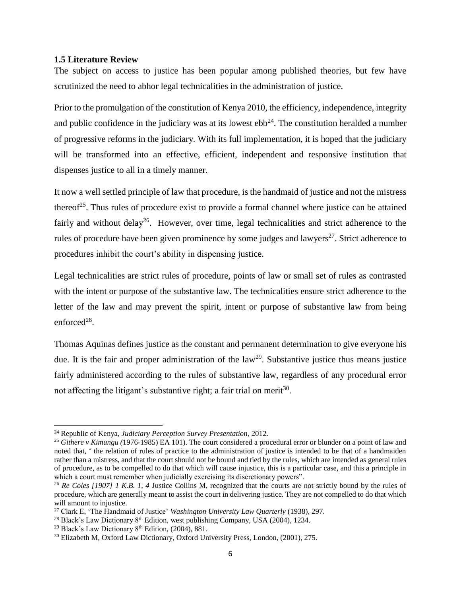#### <span id="page-13-0"></span>**1.5 Literature Review**

The subject on access to justice has been popular among published theories, but few have scrutinized the need to abhor legal technicalities in the administration of justice.

Prior to the promulgation of the constitution of Kenya 2010, the efficiency, independence, integrity and public confidence in the judiciary was at its lowest  $ebb^{24}$ . The constitution heralded a number of progressive reforms in the judiciary. With its full implementation, it is hoped that the judiciary will be transformed into an effective, efficient, independent and responsive institution that dispenses justice to all in a timely manner.

It now a well settled principle of law that procedure, is the handmaid of justice and not the mistress thereof<sup>25</sup>. Thus rules of procedure exist to provide a formal channel where justice can be attained fairly and without delay<sup>26</sup>. However, over time, legal technicalities and strict adherence to the rules of procedure have been given prominence by some judges and lawyers<sup>27</sup>. Strict adherence to procedures inhibit the court's ability in dispensing justice.

Legal technicalities are strict rules of procedure, points of law or small set of rules as contrasted with the intent or purpose of the substantive law. The technicalities ensure strict adherence to the letter of the law and may prevent the spirit, intent or purpose of substantive law from being enforced $^{28}$ .

Thomas Aquinas defines justice as the constant and permanent determination to give everyone his due. It is the fair and proper administration of the  $law<sup>29</sup>$ . Substantive justice thus means justice fairly administered according to the rules of substantive law, regardless of any procedural error not affecting the litigant's substantive right; a fair trial on merit $30$ .

<sup>24</sup> Republic of Kenya, *Judiciary Perception Survey Presentation*, 2012.

<sup>25</sup> *Githere v Kimungu (*1976-1985) EA 101). The court considered a procedural error or blunder on a point of law and noted that, ' the relation of rules of practice to the administration of justice is intended to be that of a handmaiden rather than a mistress, and that the court should not be bound and tied by the rules, which are intended as general rules of procedure, as to be compelled to do that which will cause injustice, this is a particular case, and this a principle in which a court must remember when judicially exercising its discretionary powers".

<sup>&</sup>lt;sup>26</sup> *Re Coles [1907] 1 K.B. 1, 4 Justice Collins M, recognized that the courts are not strictly bound by the rules of* procedure, which are generally meant to assist the court in delivering justice. They are not compelled to do that which will amount to injustice.

<sup>27</sup> Clark E, 'The Handmaid of Justice' *Washington University Law Quarterly* (1938), 297.

<sup>&</sup>lt;sup>28</sup> Black's Law Dictionary  $8<sup>th</sup>$  Edition, west publishing Company, USA (2004), 1234.

<sup>&</sup>lt;sup>29</sup> Black's Law Dictionary  $8<sup>th</sup>$  Edition, (2004), 881.

<sup>30</sup> Elizabeth M, Oxford Law Dictionary, Oxford University Press, London, (2001), 275.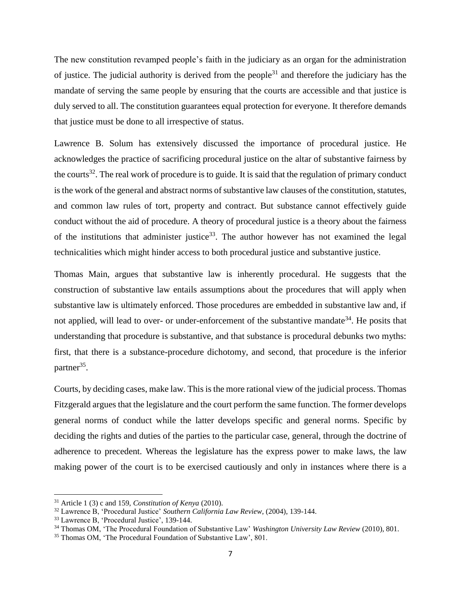The new constitution revamped people's faith in the judiciary as an organ for the administration of justice. The judicial authority is derived from the people<sup>31</sup> and therefore the judiciary has the mandate of serving the same people by ensuring that the courts are accessible and that justice is duly served to all. The constitution guarantees equal protection for everyone. It therefore demands that justice must be done to all irrespective of status.

Lawrence B. Solum has extensively discussed the importance of procedural justice. He acknowledges the practice of sacrificing procedural justice on the altar of substantive fairness by the courts<sup>32</sup>. The real work of procedure is to guide. It is said that the regulation of primary conduct is the work of the general and abstract norms of substantive law clauses of the constitution, statutes, and common law rules of tort, property and contract. But substance cannot effectively guide conduct without the aid of procedure. A theory of procedural justice is a theory about the fairness of the institutions that administer justice<sup>33</sup>. The author however has not examined the legal technicalities which might hinder access to both procedural justice and substantive justice.

Thomas Main, argues that substantive law is inherently procedural. He suggests that the construction of substantive law entails assumptions about the procedures that will apply when substantive law is ultimately enforced. Those procedures are embedded in substantive law and, if not applied, will lead to over- or under-enforcement of the substantive mandate<sup>34</sup>. He posits that understanding that procedure is substantive, and that substance is procedural debunks two myths: first, that there is a substance-procedure dichotomy, and second, that procedure is the inferior partner<sup>35</sup>.

Courts, by deciding cases, make law. This is the more rational view of the judicial process. Thomas Fitzgerald argues that the legislature and the court perform the same function. The former develops general norms of conduct while the latter develops specific and general norms. Specific by deciding the rights and duties of the parties to the particular case, general, through the doctrine of adherence to precedent. Whereas the legislature has the express power to make laws, the law making power of the court is to be exercised cautiously and only in instances where there is a

<sup>31</sup> Article 1 (3) c and 159, *Constitution of Kenya* (2010).

<sup>32</sup> Lawrence B, 'Procedural Justice' *Southern California Law Review*, (2004), 139-144.

<sup>33</sup> Lawrence B, 'Procedural Justice', 139-144.

<sup>34</sup> Thomas OM, 'The Procedural Foundation of Substantive Law' *Washington University Law Review* (2010), 801.

<sup>35</sup> Thomas OM, 'The Procedural Foundation of Substantive Law', 801.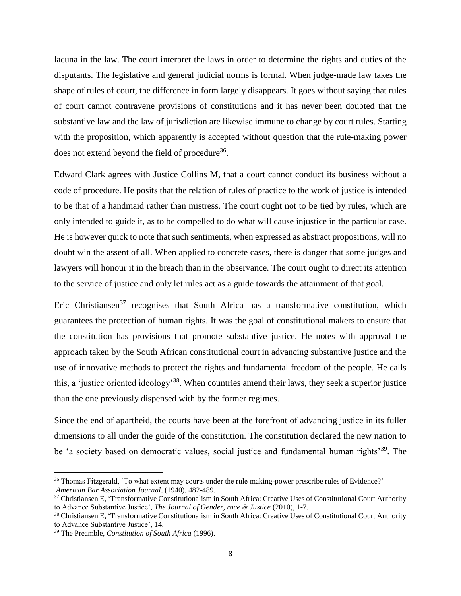lacuna in the law. The court interpret the laws in order to determine the rights and duties of the disputants. The legislative and general judicial norms is formal. When judge-made law takes the shape of rules of court, the difference in form largely disappears. It goes without saying that rules of court cannot contravene provisions of constitutions and it has never been doubted that the substantive law and the law of jurisdiction are likewise immune to change by court rules. Starting with the proposition, which apparently is accepted without question that the rule-making power does not extend beyond the field of procedure<sup>36</sup>.

Edward Clark agrees with Justice Collins M, that a court cannot conduct its business without a code of procedure. He posits that the relation of rules of practice to the work of justice is intended to be that of a handmaid rather than mistress. The court ought not to be tied by rules, which are only intended to guide it, as to be compelled to do what will cause injustice in the particular case. He is however quick to note that such sentiments, when expressed as abstract propositions, will no doubt win the assent of all. When applied to concrete cases, there is danger that some judges and lawyers will honour it in the breach than in the observance. The court ought to direct its attention to the service of justice and only let rules act as a guide towards the attainment of that goal.

Eric Christiansen<sup>37</sup> recognises that South Africa has a transformative constitution, which guarantees the protection of human rights. It was the goal of constitutional makers to ensure that the constitution has provisions that promote substantive justice. He notes with approval the approach taken by the South African constitutional court in advancing substantive justice and the use of innovative methods to protect the rights and fundamental freedom of the people. He calls this, a 'justice oriented ideology'<sup>38</sup>. When countries amend their laws, they seek a superior justice than the one previously dispensed with by the former regimes.

Since the end of apartheid, the courts have been at the forefront of advancing justice in its fuller dimensions to all under the guide of the constitution. The constitution declared the new nation to be 'a society based on democratic values, social justice and fundamental human rights<sup>39</sup>. The

<sup>36</sup> Thomas Fitzgerald, 'To what extent may courts under the rule making-power prescribe rules of Evidence?' *American Bar Association Journal*, (1940), 482-489.

<sup>&</sup>lt;sup>37</sup> Christiansen E, 'Transformative Constitutionalism in South Africa: Creative Uses of Constitutional Court Authority to Advance Substantive Justice', *The Journal of Gender, race & Justice* (2010), 1-7.

<sup>38</sup> Christiansen E, 'Transformative Constitutionalism in South Africa: Creative Uses of Constitutional Court Authority to Advance Substantive Justice', 14.

<sup>39</sup> The Preamble, *Constitution of South Africa* (1996).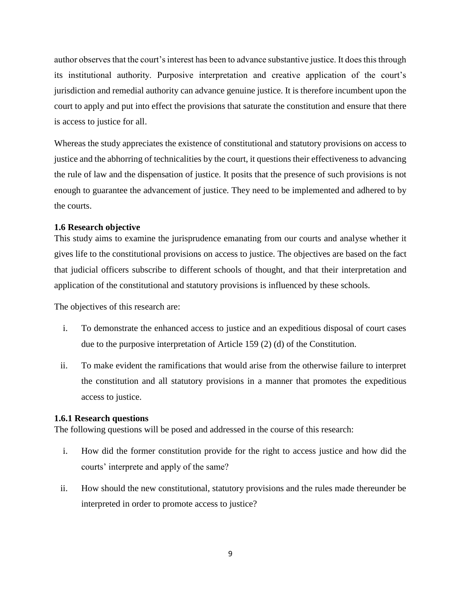author observes that the court's interest has been to advance substantive justice. It does this through its institutional authority. Purposive interpretation and creative application of the court's jurisdiction and remedial authority can advance genuine justice. It is therefore incumbent upon the court to apply and put into effect the provisions that saturate the constitution and ensure that there is access to justice for all.

Whereas the study appreciates the existence of constitutional and statutory provisions on access to justice and the abhorring of technicalities by the court, it questions their effectiveness to advancing the rule of law and the dispensation of justice. It posits that the presence of such provisions is not enough to guarantee the advancement of justice. They need to be implemented and adhered to by the courts.

### <span id="page-16-0"></span>**1.6 Research objective**

This study aims to examine the jurisprudence emanating from our courts and analyse whether it gives life to the constitutional provisions on access to justice. The objectives are based on the fact that judicial officers subscribe to different schools of thought, and that their interpretation and application of the constitutional and statutory provisions is influenced by these schools.

The objectives of this research are:

- i. To demonstrate the enhanced access to justice and an expeditious disposal of court cases due to the purposive interpretation of Article 159 (2) (d) of the Constitution.
- ii. To make evident the ramifications that would arise from the otherwise failure to interpret the constitution and all statutory provisions in a manner that promotes the expeditious access to justice.

### <span id="page-16-1"></span>**1.6.1 Research questions**

The following questions will be posed and addressed in the course of this research:

- i. How did the former constitution provide for the right to access justice and how did the courts' interprete and apply of the same?
- ii. How should the new constitutional, statutory provisions and the rules made thereunder be interpreted in order to promote access to justice?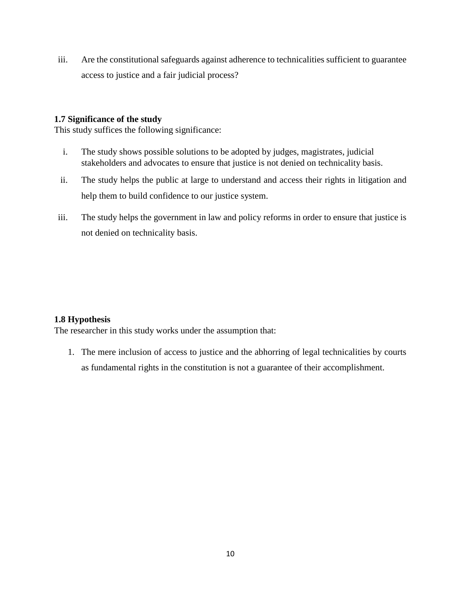iii. Are the constitutional safeguards against adherence to technicalities sufficient to guarantee access to justice and a fair judicial process?

## <span id="page-17-0"></span>**1.7 Significance of the study**

This study suffices the following significance:

- i. The study shows possible solutions to be adopted by judges, magistrates, judicial stakeholders and advocates to ensure that justice is not denied on technicality basis.
- ii. The study helps the public at large to understand and access their rights in litigation and help them to build confidence to our justice system.
- iii. The study helps the government in law and policy reforms in order to ensure that justice is not denied on technicality basis.

# <span id="page-17-1"></span>**1.8 Hypothesis**

The researcher in this study works under the assumption that:

1. The mere inclusion of access to justice and the abhorring of legal technicalities by courts as fundamental rights in the constitution is not a guarantee of their accomplishment.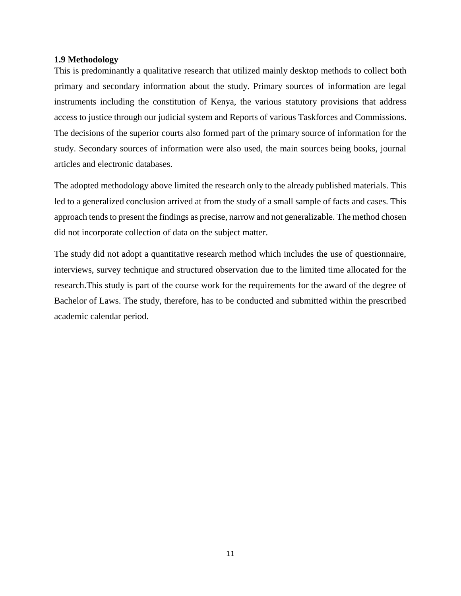#### <span id="page-18-0"></span>**1.9 Methodology**

This is predominantly a qualitative research that utilized mainly desktop methods to collect both primary and secondary information about the study. Primary sources of information are legal instruments including the constitution of Kenya, the various statutory provisions that address access to justice through our judicial system and Reports of various Taskforces and Commissions. The decisions of the superior courts also formed part of the primary source of information for the study. Secondary sources of information were also used, the main sources being books, journal articles and electronic databases.

The adopted methodology above limited the research only to the already published materials. This led to a generalized conclusion arrived at from the study of a small sample of facts and cases. This approach tends to present the findings as precise, narrow and not generalizable. The method chosen did not incorporate collection of data on the subject matter.

The study did not adopt a quantitative research method which includes the use of questionnaire, interviews, survey technique and structured observation due to the limited time allocated for the research.This study is part of the course work for the requirements for the award of the degree of Bachelor of Laws. The study, therefore, has to be conducted and submitted within the prescribed academic calendar period.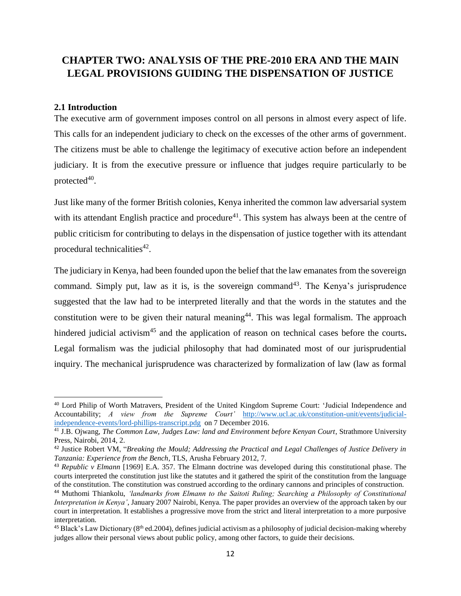# <span id="page-19-0"></span>**CHAPTER TWO: ANALYSIS OF THE PRE-2010 ERA AND THE MAIN LEGAL PROVISIONS GUIDING THE DISPENSATION OF JUSTICE**

#### <span id="page-19-1"></span>**2.1 Introduction**

 $\overline{\phantom{a}}$ 

The executive arm of government imposes control on all persons in almost every aspect of life. This calls for an independent judiciary to check on the excesses of the other arms of government. The citizens must be able to challenge the legitimacy of executive action before an independent judiciary. It is from the executive pressure or influence that judges require particularly to be protected $40$ .

Just like many of the former British colonies, Kenya inherited the common law adversarial system with its attendant English practice and procedure<sup>41</sup>. This system has always been at the centre of public criticism for contributing to delays in the dispensation of justice together with its attendant procedural technicalities<sup>42</sup>.

The judiciary in Kenya, had been founded upon the belief that the law emanates from the sovereign command. Simply put, law as it is, is the sovereign command<sup>43</sup>. The Kenya's jurisprudence suggested that the law had to be interpreted literally and that the words in the statutes and the constitution were to be given their natural meaning<sup>44</sup>. This was legal formalism. The approach hindered judicial activism<sup>45</sup> and the application of reason on technical cases before the courts. Legal formalism was the judicial philosophy that had dominated most of our jurisprudential inquiry. The mechanical jurisprudence was characterized by formalization of law (law as formal

<sup>40</sup> Lord Philip of Worth Matravers, President of the United Kingdom Supreme Court: 'Judicial Independence and Accountability; *A view from the Supreme Court'* [http://www.ucl.ac.uk/constitution-unit/events/judicial](http://www.ucl.ac.uk/constitution-unit/events/judicial-independence-events/lord-phillips-transcript.pdg)[independence-events/lord-phillips-transcript.pdg](http://www.ucl.ac.uk/constitution-unit/events/judicial-independence-events/lord-phillips-transcript.pdg) on 7 December 2016.

<sup>41</sup> J.B. Ojwang, *The Common Law, Judges Law: land and Environment before Kenyan Court*, Strathmore University Press, Nairobi, 2014, 2.

<sup>42</sup> Justice Robert VM, "*Breaking the Mould; Addressing the Practical and Legal Challenges of Justice Delivery in Tanzania: Experience from the Bench*, TLS, Arusha February 2012, 7.

<sup>43</sup> *Republic v Elmann* [1969] E.A. 357. The Elmann doctrine was developed during this constitutional phase. The courts interpreted the constitution just like the statutes and it gathered the spirit of the constitution from the language of the constitution. The constitution was construed according to the ordinary cannons and principles of construction.

<sup>44</sup> Muthomi Thiankolu, *'landmarks from Elmann to the Saitoti Ruling; Searching a Philosophy of Constitutional Interpretation in Kenya'*, January 2007 Nairobi, Kenya. The paper provides an overview of the approach taken by our court in interpretation. It establishes a progressive move from the strict and literal interpretation to a more purposive interpretation.

 $45$  Black's Law Dictionary ( $8<sup>th</sup>$  ed.2004), defines judicial activism as a philosophy of judicial decision-making whereby judges allow their personal views about public policy, among other factors, to guide their decisions.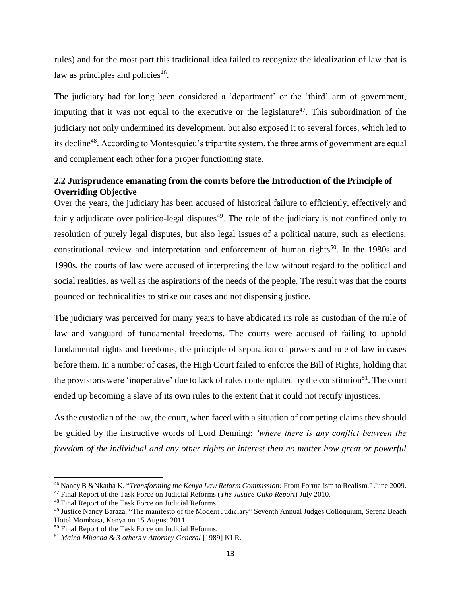rules) and for the most part this traditional idea failed to recognize the idealization of law that is law as principles and policies<sup>46</sup>.

The judiciary had for long been considered a 'department' or the 'third' arm of government, imputing that it was not equal to the executive or the legislature<sup>47</sup>. This subordination of the judiciary not only undermined its development, but also exposed it to several forces, which led to its decline<sup>48</sup>. According to Montesquieu's tripartite system, the three arms of government are equal and complement each other for a proper functioning state.

# <span id="page-20-0"></span>**2.2 Jurisprudence emanating from the courts before the Introduction of the Principle of Overriding Objective**

Over the years, the judiciary has been accused of historical failure to efficiently, effectively and fairly adjudicate over politico-legal disputes<sup>49</sup>. The role of the judiciary is not confined only to resolution of purely legal disputes, but also legal issues of a political nature, such as elections, constitutional review and interpretation and enforcement of human rights<sup>50</sup>. In the 1980s and 1990s, the courts of law were accused of interpreting the law without regard to the political and social realities, as well as the aspirations of the needs of the people. The result was that the courts pounced on technicalities to strike out cases and not dispensing justice.

The judiciary was perceived for many years to have abdicated its role as custodian of the rule of law and vanguard of fundamental freedoms. The courts were accused of failing to uphold fundamental rights and freedoms, the principle of separation of powers and rule of law in cases before them. In a number of cases, the High Court failed to enforce the Bill of Rights, holding that the provisions were 'inoperative' due to lack of rules contemplated by the constitution<sup>51</sup>. The court ended up becoming a slave of its own rules to the extent that it could not rectify injustices.

As the custodian of the law, the court, when faced with a situation of competing claims they should be guided by the instructive words of Lord Denning: *'where there is any conflict between the freedom of the individual and any other rights or interest then no matter how great or powerful* 

<sup>46</sup> Nancy B &Nkatha K, "*Transforming the Kenya Law Reform Commission:* From Formalism to Realism*.*" June 2009. <sup>47</sup> Final Report of the Task Force on Judicial Reforms (*The Justice Ouko Report*) July 2010.

<sup>48</sup> Final Report of the Task Force on Judicial Reforms.

<sup>49</sup> Justice Nancy Baraza, "The manifesto of the Modern Judiciary" Seventh Annual Judges Colloquium, Serena Beach Hotel Mombasa, Kenya on 15 August 2011.

<sup>50</sup> Final Report of the Task Force on Judicial Reforms.

<sup>51</sup> *Maina Mbacha & 3 others v Attorney General* [1989] KLR.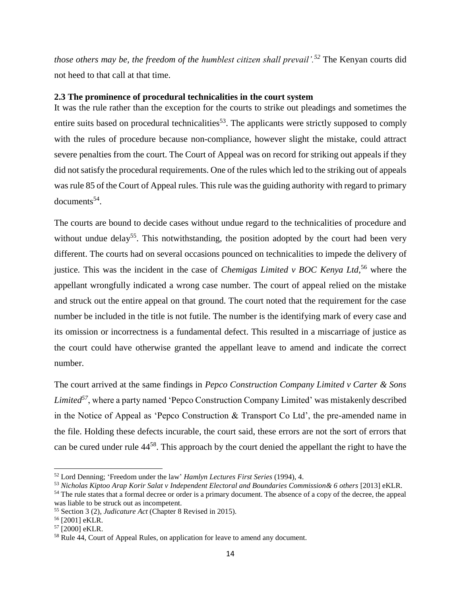*those others may be, the freedom of the humblest citizen shall prevail'.<sup>52</sup>* The Kenyan courts did not heed to that call at that time.

#### <span id="page-21-0"></span>**2.3 The prominence of procedural technicalities in the court system**

It was the rule rather than the exception for the courts to strike out pleadings and sometimes the entire suits based on procedural technicalities<sup>53</sup>. The applicants were strictly supposed to comply with the rules of procedure because non-compliance, however slight the mistake, could attract severe penalties from the court. The Court of Appeal was on record for striking out appeals if they did not satisfy the procedural requirements. One of the rules which led to the striking out of appeals was rule 85 of the Court of Appeal rules. This rule was the guiding authority with regard to primary documents<sup>54</sup>.

The courts are bound to decide cases without undue regard to the technicalities of procedure and without undue delay<sup>55</sup>. This notwithstanding, the position adopted by the court had been very different. The courts had on several occasions pounced on technicalities to impede the delivery of justice. This was the incident in the case of *Chemigas Limited v BOC Kenya Ltd*, <sup>56</sup> where the appellant wrongfully indicated a wrong case number. The court of appeal relied on the mistake and struck out the entire appeal on that ground. The court noted that the requirement for the case number be included in the title is not futile. The number is the identifying mark of every case and its omission or incorrectness is a fundamental defect. This resulted in a miscarriage of justice as the court could have otherwise granted the appellant leave to amend and indicate the correct number.

The court arrived at the same findings in *Pepco Construction Company Limited v Carter & Sons Limited<sup>57</sup>*, where a party named 'Pepco Construction Company Limited' was mistakenly described in the Notice of Appeal as 'Pepco Construction & Transport Co Ltd', the pre-amended name in the file. Holding these defects incurable, the court said, these errors are not the sort of errors that can be cured under rule 44<sup>58</sup>. This approach by the court denied the appellant the right to have the

<sup>52</sup> Lord Denning; 'Freedom under the law' *Hamlyn Lectures First Series* (1994), 4.

<sup>53</sup> *Nicholas Kiptoo Arap Korir Salat v Independent Electoral and Boundaries Commission& 6 others* [2013] eKLR.

<sup>&</sup>lt;sup>54</sup> The rule states that a formal decree or order is a primary document. The absence of a copy of the decree, the appeal was liable to be struck out as incompetent.

<sup>55</sup> Section 3 (2), *Judicature Act* (Chapter 8 Revised in 2015).

<sup>56</sup> [2001] eKLR.

<sup>57</sup> [2000] eKLR.

<sup>58</sup> Rule 44, Court of Appeal Rules, on application for leave to amend any document.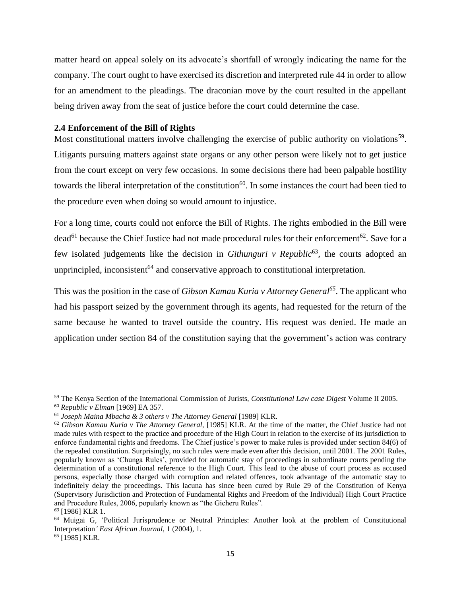matter heard on appeal solely on its advocate's shortfall of wrongly indicating the name for the company. The court ought to have exercised its discretion and interpreted rule 44 in order to allow for an amendment to the pleadings. The draconian move by the court resulted in the appellant being driven away from the seat of justice before the court could determine the case.

#### <span id="page-22-0"></span>**2.4 Enforcement of the Bill of Rights**

Most constitutional matters involve challenging the exercise of public authority on violations<sup>59</sup>. Litigants pursuing matters against state organs or any other person were likely not to get justice from the court except on very few occasions. In some decisions there had been palpable hostility towards the liberal interpretation of the constitution<sup>60</sup>. In some instances the court had been tied to the procedure even when doing so would amount to injustice.

For a long time, courts could not enforce the Bill of Rights. The rights embodied in the Bill were dead<sup>61</sup> because the Chief Justice had not made procedural rules for their enforcement<sup>62</sup>. Save for a few isolated judgements like the decision in *Githunguri v Republic*<sup>63</sup>, the courts adopted an unprincipled, inconsistent<sup> $64$ </sup> and conservative approach to constitutional interpretation.

This was the position in the case of *Gibson Kamau Kuria v Attorney General<sup>65</sup>*. The applicant who had his passport seized by the government through its agents, had requested for the return of the same because he wanted to travel outside the country. His request was denied. He made an application under section 84 of the constitution saying that the government's action was contrary

<sup>59</sup> The Kenya Section of the International Commission of Jurists, *Constitutional Law case Digest* Volume II 2005. <sup>60</sup> *Republic v Elman* [1969] EA 357.

<sup>61</sup> *Joseph Maina Mbacha & 3 others v The Attorney General* [1989] KLR.

<sup>62</sup> *Gibson Kamau Kuria v The Attorney General,* [1985] KLR. At the time of the matter, the Chief Justice had not made rules with respect to the practice and procedure of the High Court in relation to the exercise of its jurisdiction to enforce fundamental rights and freedoms. The Chief justice's power to make rules is provided under section 84(6) of the repealed constitution. Surprisingly, no such rules were made even after this decision, until 2001. The 2001 Rules, popularly known as 'Chunga Rules', provided for automatic stay of proceedings in subordinate courts pending the determination of a constitutional reference to the High Court. This lead to the abuse of court process as accused persons, especially those charged with corruption and related offences, took advantage of the automatic stay to indefinitely delay the proceedings. This lacuna has since been cured by Rule 29 of the Constitution of Kenya (Supervisory Jurisdiction and Protection of Fundamental Rights and Freedom of the Individual) High Court Practice and Procedure Rules, 2006, popularly known as "the Gicheru Rules".

*<sup>63</sup>* [1986] KLR 1.

<sup>64</sup> Muigai G, 'Political Jurisprudence or Neutral Principles: Another look at the problem of Constitutional Interpretation*' East African Journal*, 1 (2004), 1.

<sup>65</sup> [1985] KLR.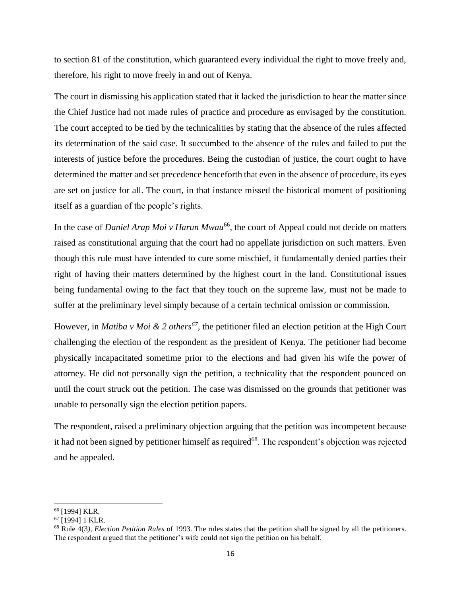to section 81 of the constitution, which guaranteed every individual the right to move freely and, therefore, his right to move freely in and out of Kenya.

The court in dismissing his application stated that it lacked the jurisdiction to hear the matter since the Chief Justice had not made rules of practice and procedure as envisaged by the constitution. The court accepted to be tied by the technicalities by stating that the absence of the rules affected its determination of the said case. It succumbed to the absence of the rules and failed to put the interests of justice before the procedures. Being the custodian of justice, the court ought to have determined the matter and set precedence henceforth that even in the absence of procedure, its eyes are set on justice for all. The court, in that instance missed the historical moment of positioning itself as a guardian of the people's rights.

In the case of *Daniel Arap Moi v Harun Mwau*<sup>66</sup>, the court of Appeal could not decide on matters raised as constitutional arguing that the court had no appellate jurisdiction on such matters. Even though this rule must have intended to cure some mischief, it fundamentally denied parties their right of having their matters determined by the highest court in the land. Constitutional issues being fundamental owing to the fact that they touch on the supreme law, must not be made to suffer at the preliminary level simply because of a certain technical omission or commission.

However, in *Matiba v Moi & 2 others<sup>67</sup>*, the petitioner filed an election petition at the High Court challenging the election of the respondent as the president of Kenya. The petitioner had become physically incapacitated sometime prior to the elections and had given his wife the power of attorney. He did not personally sign the petition, a technicality that the respondent pounced on until the court struck out the petition. The case was dismissed on the grounds that petitioner was unable to personally sign the election petition papers.

The respondent, raised a preliminary objection arguing that the petition was incompetent because it had not been signed by petitioner himself as required<sup>68</sup>. The respondent's objection was rejected and he appealed.

 $\overline{\phantom{a}}$ <sup>66</sup> [1994] KLR.

<sup>67</sup> [1994] 1 KLR.

<sup>68</sup> Rule 4(3*), Election Petition Rules* of 1993. The rules states that the petition shall be signed by all the petitioners. The respondent argued that the petitioner's wife could not sign the petition on his behalf.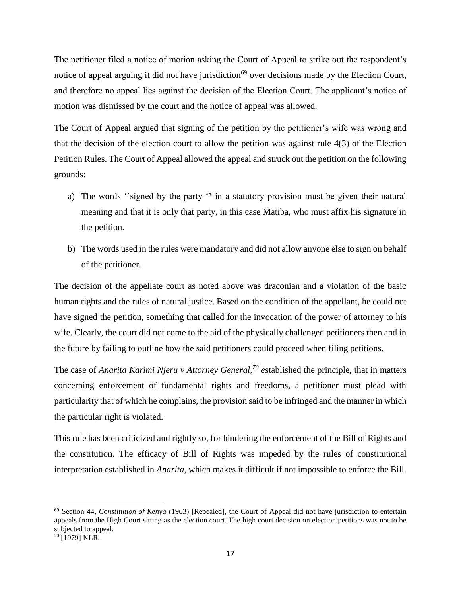The petitioner filed a notice of motion asking the Court of Appeal to strike out the respondent's notice of appeal arguing it did not have jurisdiction<sup>69</sup> over decisions made by the Election Court, and therefore no appeal lies against the decision of the Election Court. The applicant's notice of motion was dismissed by the court and the notice of appeal was allowed.

The Court of Appeal argued that signing of the petition by the petitioner's wife was wrong and that the decision of the election court to allow the petition was against rule 4(3) of the Election Petition Rules. The Court of Appeal allowed the appeal and struck out the petition on the following grounds:

- a) The words ''signed by the party '' in a statutory provision must be given their natural meaning and that it is only that party, in this case Matiba, who must affix his signature in the petition.
- b) The words used in the rules were mandatory and did not allow anyone else to sign on behalf of the petitioner.

The decision of the appellate court as noted above was draconian and a violation of the basic human rights and the rules of natural justice. Based on the condition of the appellant, he could not have signed the petition, something that called for the invocation of the power of attorney to his wife. Clearly, the court did not come to the aid of the physically challenged petitioners then and in the future by failing to outline how the said petitioners could proceed when filing petitions.

The case of *Anarita Karimi Njeru v Attorney General,<sup>70</sup> e*stablished the principle, that in matters concerning enforcement of fundamental rights and freedoms, a petitioner must plead with particularity that of which he complains, the provision said to be infringed and the manner in which the particular right is violated.

This rule has been criticized and rightly so, for hindering the enforcement of the Bill of Rights and the constitution. The efficacy of Bill of Rights was impeded by the rules of constitutional interpretation established in *Anarita*, which makes it difficult if not impossible to enforce the Bill.

<sup>69</sup> Section 44, *Constitution of Kenya* (1963) [Repealed], the Court of Appeal did not have jurisdiction to entertain appeals from the High Court sitting as the election court. The high court decision on election petitions was not to be subjected to appeal.

<sup>70</sup> [1979] KLR.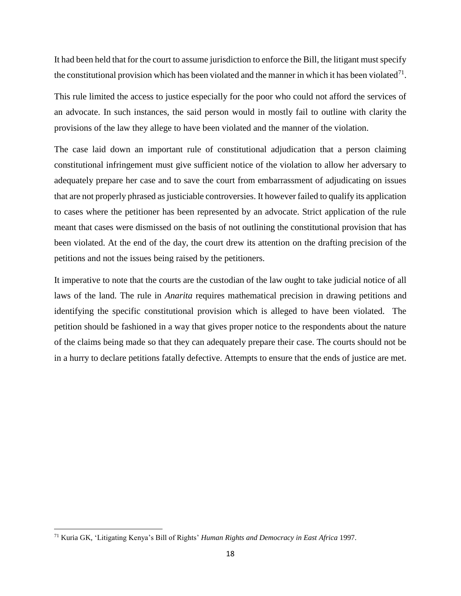It had been held that for the court to assume jurisdiction to enforce the Bill, the litigant must specify the constitutional provision which has been violated and the manner in which it has been violated $^{71}$ .

This rule limited the access to justice especially for the poor who could not afford the services of an advocate. In such instances, the said person would in mostly fail to outline with clarity the provisions of the law they allege to have been violated and the manner of the violation.

The case laid down an important rule of constitutional adjudication that a person claiming constitutional infringement must give sufficient notice of the violation to allow her adversary to adequately prepare her case and to save the court from embarrassment of adjudicating on issues that are not properly phrased as justiciable controversies. It however failed to qualify its application to cases where the petitioner has been represented by an advocate. Strict application of the rule meant that cases were dismissed on the basis of not outlining the constitutional provision that has been violated. At the end of the day, the court drew its attention on the drafting precision of the petitions and not the issues being raised by the petitioners.

It imperative to note that the courts are the custodian of the law ought to take judicial notice of all laws of the land. The rule in *Anarita* requires mathematical precision in drawing petitions and identifying the specific constitutional provision which is alleged to have been violated. The petition should be fashioned in a way that gives proper notice to the respondents about the nature of the claims being made so that they can adequately prepare their case. The courts should not be in a hurry to declare petitions fatally defective. Attempts to ensure that the ends of justice are met.

<sup>71</sup> Kuria GK, 'Litigating Kenya's Bill of Rights' *Human Rights and Democracy in East Africa* 1997.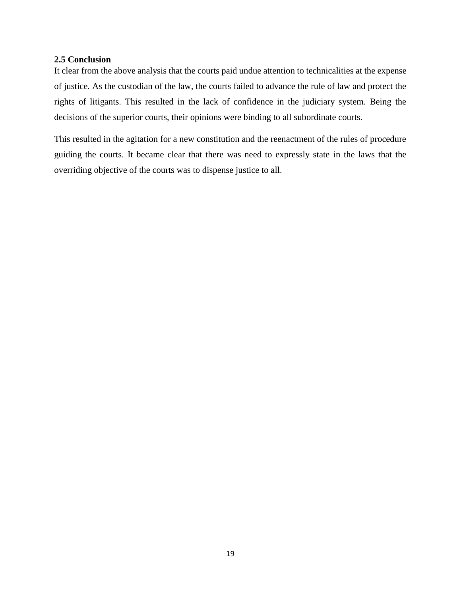#### <span id="page-26-0"></span>**2.5 Conclusion**

It clear from the above analysis that the courts paid undue attention to technicalities at the expense of justice. As the custodian of the law, the courts failed to advance the rule of law and protect the rights of litigants. This resulted in the lack of confidence in the judiciary system. Being the decisions of the superior courts, their opinions were binding to all subordinate courts.

This resulted in the agitation for a new constitution and the reenactment of the rules of procedure guiding the courts. It became clear that there was need to expressly state in the laws that the overriding objective of the courts was to dispense justice to all.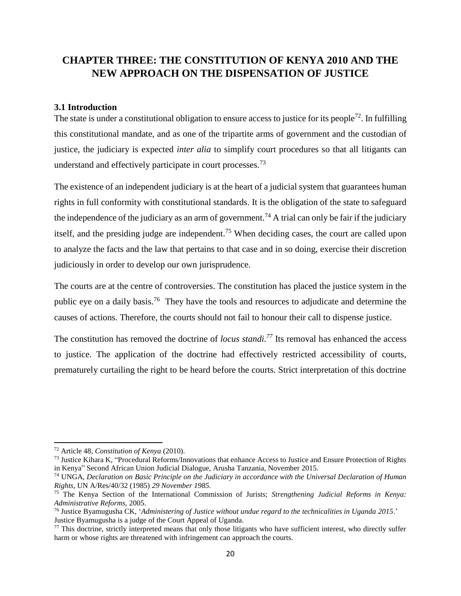# <span id="page-27-0"></span>**CHAPTER THREE: THE CONSTITUTION OF KENYA 2010 AND THE NEW APPROACH ON THE DISPENSATION OF JUSTICE**

#### <span id="page-27-1"></span>**3.1 Introduction**

The state is under a constitutional obligation to ensure access to justice for its people<sup>72</sup>. In fulfilling this constitutional mandate, and as one of the tripartite arms of government and the custodian of justice, the judiciary is expected *inter alia* to simplify court procedures so that all litigants can understand and effectively participate in court processes.<sup>73</sup>

The existence of an independent judiciary is at the heart of a judicial system that guarantees human rights in full conformity with constitutional standards. It is the obligation of the state to safeguard the independence of the judiciary as an arm of government.<sup>74</sup> A trial can only be fair if the judiciary itself, and the presiding judge are independent.<sup>75</sup> When deciding cases, the court are called upon to analyze the facts and the law that pertains to that case and in so doing, exercise their discretion judiciously in order to develop our own jurisprudence.

The courts are at the centre of controversies. The constitution has placed the justice system in the public eye on a daily basis.<sup>76</sup> They have the tools and resources to adjudicate and determine the causes of actions. Therefore, the courts should not fail to honour their call to dispense justice.

The constitution has removed the doctrine of *locus standi.<sup>77</sup>* Its removal has enhanced the access to justice. The application of the doctrine had effectively restricted accessibility of courts, prematurely curtailing the right to be heard before the courts. Strict interpretation of this doctrine

<sup>72</sup> Article 48, *Constitution of Kenya* (2010).

<sup>&</sup>lt;sup>73</sup> Justice Kihara K, "Procedural Reforms/Innovations that enhance Access to Justice and Ensure Protection of Rights in Kenya" Second African Union Judicial Dialogue, Arusha Tanzania, November 2015.

<sup>74</sup> UNGA, *Declaration on Basic Principle on the Judiciary in accordance with the Universal Declaration of Human Rights,* UN A/Res/40/32 (1985) *29 November 1985.*

<sup>75</sup> The Kenya Section of the International Commission of Jurists; *Strengthening Judicial Reforms in Kenya: Administrative Reforms,* 2005.

<sup>76</sup> Justice Byamugusha CK, '*Administering of Justice without undue regard to the technicalities in Uganda 2015*.' Justice Byamugusha is a judge of the Court Appeal of Uganda.

 $77$  This doctrine, strictly interpreted means that only those litigants who have sufficient interest, who directly suffer harm or whose rights are threatened with infringement can approach the courts.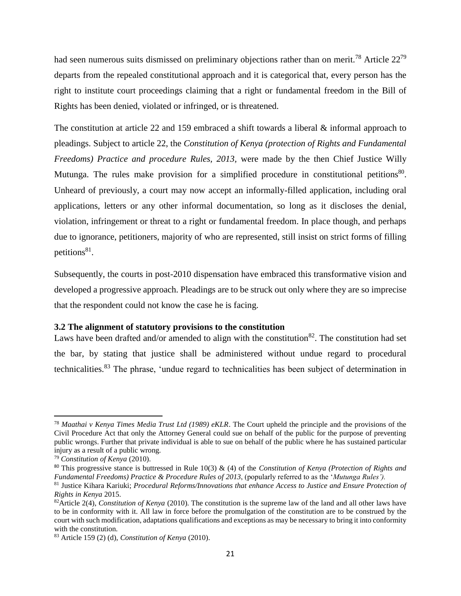had seen numerous suits dismissed on preliminary objections rather than on merit.<sup>78</sup> Article 22<sup>79</sup> departs from the repealed constitutional approach and it is categorical that, every person has the right to institute court proceedings claiming that a right or fundamental freedom in the Bill of Rights has been denied, violated or infringed, or is threatened.

The constitution at article 22 and 159 embraced a shift towards a liberal & informal approach to pleadings. Subject to article 22, the *Constitution of Kenya (protection of Rights and Fundamental Freedoms) Practice and procedure Rules, 2013,* were made by the then Chief Justice Willy Mutunga. The rules make provision for a simplified procedure in constitutional petitions<sup>80</sup>. Unheard of previously, a court may now accept an informally-filled application, including oral applications, letters or any other informal documentation, so long as it discloses the denial, violation, infringement or threat to a right or fundamental freedom. In place though, and perhaps due to ignorance, petitioners, majority of who are represented, still insist on strict forms of filling petitions<sup>81</sup>.

Subsequently, the courts in post-2010 dispensation have embraced this transformative vision and developed a progressive approach. Pleadings are to be struck out only where they are so imprecise that the respondent could not know the case he is facing.

# <span id="page-28-0"></span>**3.2 The alignment of statutory provisions to the constitution**

Laws have been drafted and/or amended to align with the constitution<sup>82</sup>. The constitution had set the bar, by stating that justice shall be administered without undue regard to procedural technicalities.<sup>83</sup> The phrase, 'undue regard to technicalities has been subject of determination in

<sup>78</sup> *Maathai v Kenya Times Media Trust Ltd (1989) eKLR*. The Court upheld the principle and the provisions of the Civil Procedure Act that only the Attorney General could sue on behalf of the public for the purpose of preventing public wrongs. Further that private individual is able to sue on behalf of the public where he has sustained particular injury as a result of a public wrong.

<sup>79</sup> *Constitution of Kenya* (2010).

<sup>80</sup> This progressive stance is buttressed in Rule 10(3) & (4) of the *Constitution of Kenya (Protection of Rights and Fundamental Freedoms) Practice & Procedure Rules of 2013*, (popularly referred to as the '*Mutunga Rules').*

<sup>81</sup> Justice Kihara Kariuki; *Procedural Reforms/Innovations that enhance Access to Justice and Ensure Protection of Rights in Kenya* 2015.

<sup>82</sup>Article 2(4), *Constitution of Kenya* (2010). The constitution is the supreme law of the land and all other laws have to be in conformity with it. All law in force before the promulgation of the constitution are to be construed by the court with such modification, adaptations qualifications and exceptions as may be necessary to bring it into conformity with the constitution.

<sup>83</sup> Article 159 (2) (d), *Constitution of Kenya* (2010).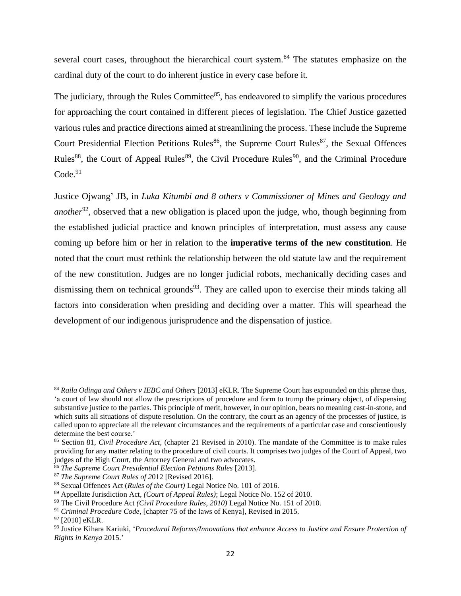several court cases, throughout the hierarchical court system.<sup>84</sup> The statutes emphasize on the cardinal duty of the court to do inherent justice in every case before it.

The judiciary, through the Rules Committee<sup>85</sup>, has endeavored to simplify the various procedures for approaching the court contained in different pieces of legislation. The Chief Justice gazetted various rules and practice directions aimed at streamlining the process. These include the Supreme Court Presidential Election Petitions Rules<sup>86</sup>, the Supreme Court Rules<sup>87</sup>, the Sexual Offences Rules<sup>88</sup>, the Court of Appeal Rules<sup>89</sup>, the Civil Procedure Rules<sup>90</sup>, and the Criminal Procedure  $Code.<sup>91</sup>$ 

Justice Ojwang' JB, in *Luka Kitumbi and 8 others v Commissioner of Mines and Geology and another*<sup>92</sup>, observed that a new obligation is placed upon the judge, who, though beginning from the established judicial practice and known principles of interpretation, must assess any cause coming up before him or her in relation to the **imperative terms of the new constitution**. He noted that the court must rethink the relationship between the old statute law and the requirement of the new constitution. Judges are no longer judicial robots, mechanically deciding cases and dismissing them on technical grounds<sup>93</sup>. They are called upon to exercise their minds taking all factors into consideration when presiding and deciding over a matter. This will spearhead the development of our indigenous jurisprudence and the dispensation of justice.

<sup>84</sup> *Raila Odinga and Others v IEBC and Others* [2013] eKLR. The Supreme Court has expounded on this phrase thus, 'a court of law should not allow the prescriptions of procedure and form to trump the primary object, of dispensing substantive justice to the parties. This principle of merit, however, in our opinion, bears no meaning cast-in-stone, and which suits all situations of dispute resolution. On the contrary, the court as an agency of the processes of justice, is called upon to appreciate all the relevant circumstances and the requirements of a particular case and conscientiously determine the best course.'

<sup>85</sup> Section 81*, Civil Procedure Act*, (chapter 21 Revised in 2010). The mandate of the Committee is to make rules providing for any matter relating to the procedure of civil courts. It comprises two judges of the Court of Appeal, two judges of the High Court, the Attorney General and two advocates.

<sup>86</sup> *The Supreme Court Presidential Election Petitions Rules* [2013].

<sup>87</sup> *The Supreme Court Rules of 2*012 [Revised 2016].

<sup>88</sup> Sexual Offences Act (*Rules of the Court)* Legal Notice No. 101 of 2016.

<sup>89</sup> Appellate Jurisdiction Act*, (Court of Appeal Rules)*; Legal Notice No. 152 of 2010.

<sup>90</sup> The Civil Procedure Act *(Civil Procedure Rules, 2010)* Legal Notice No. 151 of 2010.

<sup>91</sup> *Criminal Procedure Code,* [chapter 75 of the laws of Kenya], Revised in 2015.

<sup>92 [2010]</sup> eKLR.

<sup>93</sup> Justice Kihara Kariuki, '*Procedural Reforms/Innovations that enhance Access to Justice and Ensure Protection of Rights in Kenya* 2015.'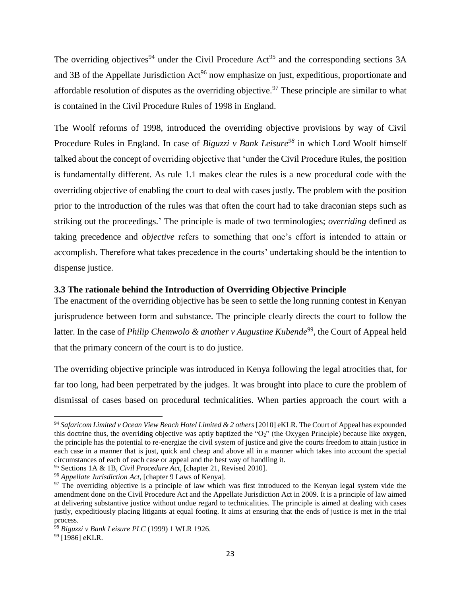The overriding objectives<sup>94</sup> under the Civil Procedure Act<sup>95</sup> and the corresponding sections  $3A$ and 3B of the Appellate Jurisdiction  $Act^{96}$  now emphasize on just, expeditious, proportionate and affordable resolution of disputes as the overriding objective.<sup>97</sup> These principle are similar to what is contained in the Civil Procedure Rules of 1998 in England.

The Woolf reforms of 1998, introduced the overriding objective provisions by way of Civil Procedure Rules in England. In case of *Biguzzi v Bank Leisure<sup>98</sup>* in which Lord Woolf himself talked about the concept of overriding objective that 'under the Civil Procedure Rules, the position is fundamentally different. As rule 1.1 makes clear the rules is a new procedural code with the overriding objective of enabling the court to deal with cases justly. The problem with the position prior to the introduction of the rules was that often the court had to take draconian steps such as striking out the proceedings.' The principle is made of two terminologies; *overriding* defined as taking precedence and *objective* refers to something that one's effort is intended to attain or accomplish. Therefore what takes precedence in the courts' undertaking should be the intention to dispense justice.

# <span id="page-30-0"></span>**3.3 The rationale behind the Introduction of Overriding Objective Principle**

The enactment of the overriding objective has be seen to settle the long running contest in Kenyan jurisprudence between form and substance. The principle clearly directs the court to follow the latter. In the case of *Philip Chemwolo & another v Augustine Kubende*<sup>99</sup>, the Court of Appeal held that the primary concern of the court is to do justice.

The overriding objective principle was introduced in Kenya following the legal atrocities that, for far too long, had been perpetrated by the judges. It was brought into place to cure the problem of dismissal of cases based on procedural technicalities. When parties approach the court with a

<sup>94</sup> *Safaricom Limited v Ocean View Beach Hotel Limited & 2 others* [2010] eKLR. The Court of Appeal has expounded this doctrine thus, the overriding objective was aptly baptized the "O2" (the Oxygen Principle) because like oxygen, the principle has the potential to re-energize the civil system of justice and give the courts freedom to attain justice in each case in a manner that is just, quick and cheap and above all in a manner which takes into account the special circumstances of each of each case or appeal and the best way of handling it.

<sup>95</sup> Sections 1A & 1B*, Civil Procedure Act*, [chapter 21, Revised 2010].

<sup>96</sup> *Appellate Jurisdiction Act*, [chapter 9 Laws of Kenya].

<sup>&</sup>lt;sup>97</sup> The overriding objective is a principle of law which was first introduced to the Kenyan legal system vide the amendment done on the Civil Procedure Act and the Appellate Jurisdiction Act in 2009. It is a principle of law aimed at delivering substantive justice without undue regard to technicalities. The principle is aimed at dealing with cases justly, expeditiously placing litigants at equal footing. It aims at ensuring that the ends of justice is met in the trial process.

<sup>98</sup> *Biguzzi v Bank Leisure PLC* (1999) 1 WLR 1926.

<sup>&</sup>lt;sup>99</sup> [1986] eKLR.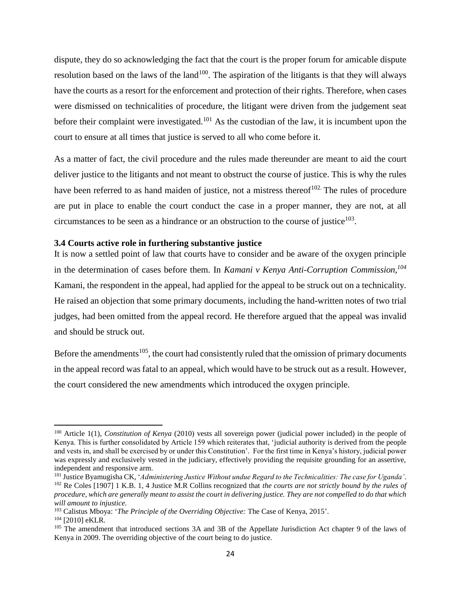dispute, they do so acknowledging the fact that the court is the proper forum for amicable dispute resolution based on the laws of the land<sup>100</sup>. The aspiration of the litigants is that they will always have the courts as a resort for the enforcement and protection of their rights. Therefore, when cases were dismissed on technicalities of procedure, the litigant were driven from the judgement seat before their complaint were investigated.<sup>101</sup> As the custodian of the law, it is incumbent upon the court to ensure at all times that justice is served to all who come before it.

As a matter of fact, the civil procedure and the rules made thereunder are meant to aid the court deliver justice to the litigants and not meant to obstruct the course of justice. This is why the rules have been referred to as hand maiden of justice, not a mistress thereof $102$ . The rules of procedure are put in place to enable the court conduct the case in a proper manner, they are not, at all circumstances to be seen as a hindrance or an obstruction to the course of justice $103$ .

#### <span id="page-31-0"></span>**3.4 Courts active role in furthering substantive justice**

It is now a settled point of law that courts have to consider and be aware of the oxygen principle in the determination of cases before them. In *Kamani v Kenya Anti-Corruption Commission,<sup>104</sup>* Kamani, the respondent in the appeal, had applied for the appeal to be struck out on a technicality. He raised an objection that some primary documents, including the hand-written notes of two trial judges, had been omitted from the appeal record. He therefore argued that the appeal was invalid and should be struck out.

Before the amendments<sup>105</sup>, the court had consistently ruled that the omission of primary documents in the appeal record was fatal to an appeal, which would have to be struck out as a result. However, the court considered the new amendments which introduced the oxygen principle.

<sup>100</sup> Article 1(1), *Constitution of Kenya* (2010) vests all sovereign power (judicial power included) in the people of Kenya. This is further consolidated by Article 159 which reiterates that, 'judicial authority is derived from the people and vests in, and shall be exercised by or under this Constitution'*.* For the first time in Kenya's history, judicial power was expressly and exclusively vested in the judiciary, effectively providing the requisite grounding for an assertive, independent and responsive arm.

<sup>101</sup> Justice Byamugisha CK, '*Administering Justice Without undue Regard to the Technicalities: The case for Uganda'*. <sup>102</sup> Re Coles [1907] 1 K.B. 1, 4 Justice M.R Collins recognized that *the courts are not strictly bound by the rules of procedure, which are generally meant to assist the court in delivering justice. They are not compelled to do that which will amount to injustice.*

<sup>103</sup> Calistus Mboya: '*The Principle of the Overriding Objective:* The Case of Kenya, 2015'.

<sup>104</sup> [2010] eKLR.

<sup>&</sup>lt;sup>105</sup> The amendment that introduced sections 3A and 3B of the Appellate Jurisdiction Act chapter 9 of the laws of Kenya in 2009. The overriding objective of the court being to do justice.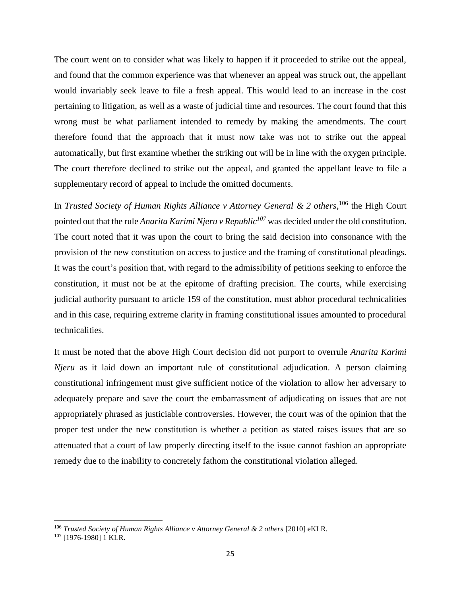The court went on to consider what was likely to happen if it proceeded to strike out the appeal, and found that the common experience was that whenever an appeal was struck out, the appellant would invariably seek leave to file a fresh appeal. This would lead to an increase in the cost pertaining to litigation, as well as a waste of judicial time and resources. The court found that this wrong must be what parliament intended to remedy by making the amendments. The court therefore found that the approach that it must now take was not to strike out the appeal automatically, but first examine whether the striking out will be in line with the oxygen principle. The court therefore declined to strike out the appeal, and granted the appellant leave to file a supplementary record of appeal to include the omitted documents.

In *Trusted Society of Human Rights Alliance v Attorney General & 2 others*,<sup>106</sup> the High Court pointed out that the rule *Anarita Karimi Njeru v Republic<sup>107</sup>* was decided under the old constitution. The court noted that it was upon the court to bring the said decision into consonance with the provision of the new constitution on access to justice and the framing of constitutional pleadings. It was the court's position that, with regard to the admissibility of petitions seeking to enforce the constitution, it must not be at the epitome of drafting precision. The courts, while exercising judicial authority pursuant to article 159 of the constitution, must abhor procedural technicalities and in this case, requiring extreme clarity in framing constitutional issues amounted to procedural technicalities.

It must be noted that the above High Court decision did not purport to overrule *Anarita Karimi Njeru* as it laid down an important rule of constitutional adjudication. A person claiming constitutional infringement must give sufficient notice of the violation to allow her adversary to adequately prepare and save the court the embarrassment of adjudicating on issues that are not appropriately phrased as justiciable controversies. However, the court was of the opinion that the proper test under the new constitution is whether a petition as stated raises issues that are so attenuated that a court of law properly directing itself to the issue cannot fashion an appropriate remedy due to the inability to concretely fathom the constitutional violation alleged.

<sup>106</sup> *Trusted Society of Human Rights Alliance v Attorney General & 2 others* [2010] eKLR.

<sup>&</sup>lt;sup>107</sup> [1976-1980] 1 KLR.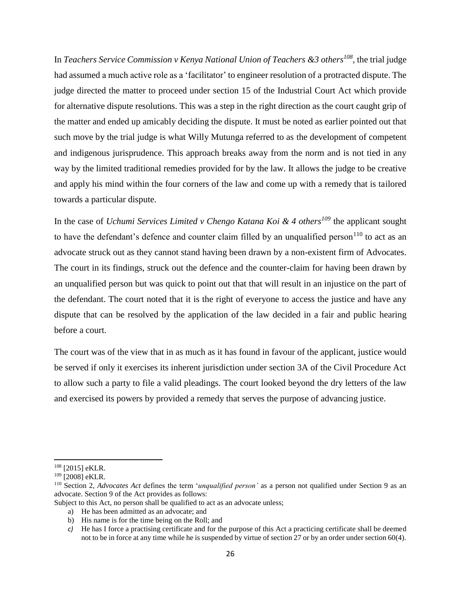In *Teachers Service Commission v Kenya National Union of Teachers &3 others<sup>108</sup> ,* the trial judge had assumed a much active role as a 'facilitator' to engineer resolution of a protracted dispute. The judge directed the matter to proceed under section 15 of the Industrial Court Act which provide for alternative dispute resolutions. This was a step in the right direction as the court caught grip of the matter and ended up amicably deciding the dispute. It must be noted as earlier pointed out that such move by the trial judge is what Willy Mutunga referred to as the development of competent and indigenous jurisprudence. This approach breaks away from the norm and is not tied in any way by the limited traditional remedies provided for by the law. It allows the judge to be creative and apply his mind within the four corners of the law and come up with a remedy that is tailored towards a particular dispute.

In the case of *Uchumi Services Limited v Chengo Katana Koi & 4 others<sup>109</sup>* the applicant sought to have the defendant's defence and counter claim filled by an unqualified person<sup>110</sup> to act as an advocate struck out as they cannot stand having been drawn by a non-existent firm of Advocates. The court in its findings, struck out the defence and the counter-claim for having been drawn by an unqualified person but was quick to point out that that will result in an injustice on the part of the defendant. The court noted that it is the right of everyone to access the justice and have any dispute that can be resolved by the application of the law decided in a fair and public hearing before a court.

The court was of the view that in as much as it has found in favour of the applicant, justice would be served if only it exercises its inherent jurisdiction under section 3A of the Civil Procedure Act to allow such a party to file a valid pleadings. The court looked beyond the dry letters of the law and exercised its powers by provided a remedy that serves the purpose of advancing justice.

<sup>108</sup> [2015] eKLR.

<sup>109</sup> [2008] eKLR.

<sup>110</sup> Section 2*, Advocates Act* defines the term '*unqualified person'* as a person not qualified under Section 9 as an advocate. Section 9 of the Act provides as follows:

Subject to this Act, no person shall be qualified to act as an advocate unless;

a) He has been admitted as an advocate; and

b) His name is for the time being on the Roll; and

*c)* He has I force a practising certificate and for the purpose of this Act a practicing certificate shall be deemed not to be in force at any time while he is suspended by virtue of section 27 or by an order under section 60(4).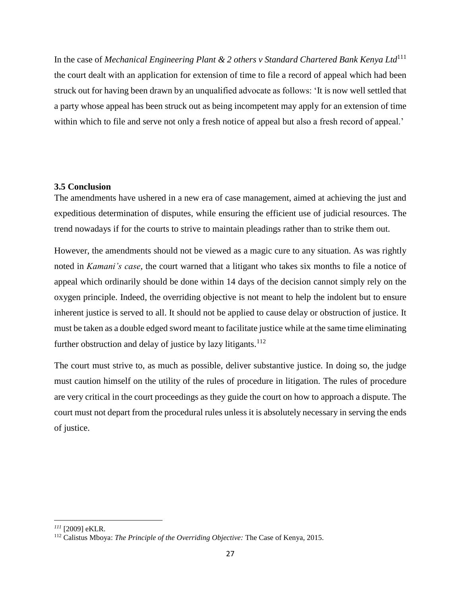In the case of *Mechanical Engineering Plant & 2 others v Standard Chartered Bank Kenya Ltd*<sup>111</sup> the court dealt with an application for extension of time to file a record of appeal which had been struck out for having been drawn by an unqualified advocate as follows: 'It is now well settled that a party whose appeal has been struck out as being incompetent may apply for an extension of time within which to file and serve not only a fresh notice of appeal but also a fresh record of appeal.'

### <span id="page-34-0"></span>**3.5 Conclusion**

The amendments have ushered in a new era of case management, aimed at achieving the just and expeditious determination of disputes, while ensuring the efficient use of judicial resources. The trend nowadays if for the courts to strive to maintain pleadings rather than to strike them out.

However, the amendments should not be viewed as a magic cure to any situation. As was rightly noted in *Kamani's case,* the court warned that a litigant who takes six months to file a notice of appeal which ordinarily should be done within 14 days of the decision cannot simply rely on the oxygen principle. Indeed, the overriding objective is not meant to help the indolent but to ensure inherent justice is served to all. It should not be applied to cause delay or obstruction of justice. It must be taken as a double edged sword meant to facilitate justice while at the same time eliminating further obstruction and delay of justice by lazy litigants.<sup>112</sup>

The court must strive to, as much as possible, deliver substantive justice. In doing so, the judge must caution himself on the utility of the rules of procedure in litigation. The rules of procedure are very critical in the court proceedings as they guide the court on how to approach a dispute. The court must not depart from the procedural rules unless it is absolutely necessary in serving the ends of justice.

*<sup>111</sup>* [2009] eKLR.

<sup>112</sup> Calistus Mboya: *The Principle of the Overriding Objective:* The Case of Kenya, 2015.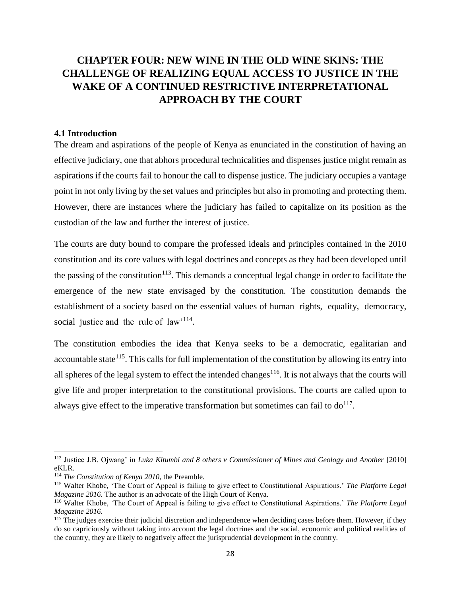# <span id="page-35-0"></span>**CHAPTER FOUR: NEW WINE IN THE OLD WINE SKINS: THE CHALLENGE OF REALIZING EQUAL ACCESS TO JUSTICE IN THE WAKE OF A CONTINUED RESTRICTIVE INTERPRETATIONAL APPROACH BY THE COURT**

#### <span id="page-35-1"></span>**4.1 Introduction**

The dream and aspirations of the people of Kenya as enunciated in the constitution of having an effective judiciary, one that abhors procedural technicalities and dispenses justice might remain as aspirations if the courts fail to honour the call to dispense justice. The judiciary occupies a vantage point in not only living by the set values and principles but also in promoting and protecting them. However, there are instances where the judiciary has failed to capitalize on its position as the custodian of the law and further the interest of justice.

The courts are duty bound to compare the professed ideals and principles contained in the 2010 constitution and its core values with legal doctrines and concepts as they had been developed until the passing of the constitution<sup>113</sup>. This demands a conceptual legal change in order to facilitate the emergence of the new state envisaged by the constitution. The constitution demands the establishment of a society based on the essential values of human rights, equality, democracy, social justice and the rule of law<sup>114</sup>.

The constitution embodies the idea that Kenya seeks to be a democratic, egalitarian and accountable state<sup>115</sup>. This calls for full implementation of the constitution by allowing its entry into all spheres of the legal system to effect the intended changes<sup>116</sup>. It is not always that the courts will give life and proper interpretation to the constitutional provisions. The courts are called upon to always give effect to the imperative transformation but sometimes can fail to  $do^{117}$ .

<sup>113</sup> Justice J.B. Ojwang' in *Luka Kitumbi and 8 others v Commissioner of Mines and Geology and Another* [2010] eKLR.

<sup>114</sup> *The Constitution of Kenya 2010*, the Preamble.

<sup>115</sup> Walter Khobe, 'The Court of Appeal is failing to give effect to Constitutional Aspirations.' *The Platform Legal Magazine 2016.* The author is an advocate of the High Court of Kenya.

<sup>116</sup> Walter Khobe, *'*The Court of Appeal is failing to give effect to Constitutional Aspirations.' *The Platform Legal Magazine 2016.*

<sup>&</sup>lt;sup>117</sup> The judges exercise their judicial discretion and independence when deciding cases before them. However, if they do so capriciously without taking into account the legal doctrines and the social, economic and political realities of the country, they are likely to negatively affect the jurisprudential development in the country.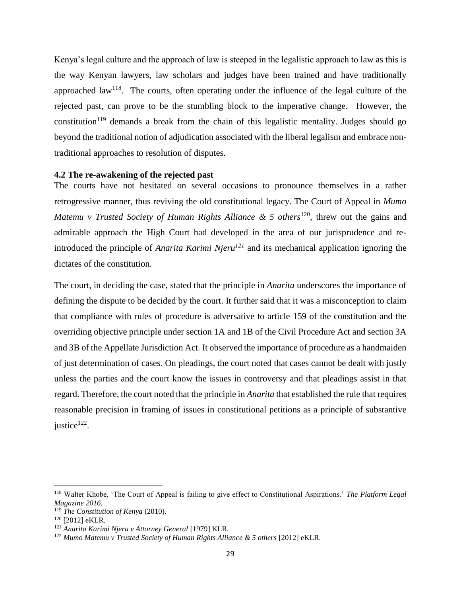Kenya's legal culture and the approach of law is steeped in the legalistic approach to law as this is the way Kenyan lawyers, law scholars and judges have been trained and have traditionally approached law<sup>118</sup>. The courts, often operating under the influence of the legal culture of the rejected past, can prove to be the stumbling block to the imperative change. However, the constitution<sup>119</sup> demands a break from the chain of this legalistic mentality. Judges should go beyond the traditional notion of adjudication associated with the liberal legalism and embrace nontraditional approaches to resolution of disputes.

#### <span id="page-36-0"></span>**4.2 The re-awakening of the rejected past**

The courts have not hesitated on several occasions to pronounce themselves in a rather retrogressive manner, thus reviving the old constitutional legacy. The Court of Appeal in *Mumo Matemu v Trusted Society of Human Rights Alliance & 5 others*<sup>120</sup>, threw out the gains and admirable approach the High Court had developed in the area of our jurisprudence and reintroduced the principle of *Anarita Karimi Njeru<sup>121</sup>* and its mechanical application ignoring the dictates of the constitution.

The court, in deciding the case, stated that the principle in *Anarita* underscores the importance of defining the dispute to be decided by the court. It further said that it was a misconception to claim that compliance with rules of procedure is adversative to article 159 of the constitution and the overriding objective principle under section 1A and 1B of the Civil Procedure Act and section 3A and 3B of the Appellate Jurisdiction Act. It observed the importance of procedure as a handmaiden of just determination of cases. On pleadings, the court noted that cases cannot be dealt with justly unless the parties and the court know the issues in controversy and that pleadings assist in that regard. Therefore, the court noted that the principle in *Anarita* that established the rule that requires reasonable precision in framing of issues in constitutional petitions as a principle of substantive justice<sup>122</sup>.

l

<sup>118</sup> Walter Khobe, 'The Court of Appeal is failing to give effect to Constitutional Aspirations.' *The Platform Legal Magazine 2016.*

<sup>119</sup> *The Constitution of Kenya* (2010).

<sup>120</sup> [2012] eKLR.

<sup>121</sup> *Anarita Karimi Njeru v Attorney General* [1979] KLR.

<sup>122</sup> *Mumo Matemu v Trusted Society of Human Rights Alliance & 5 others* [2012] eKLR.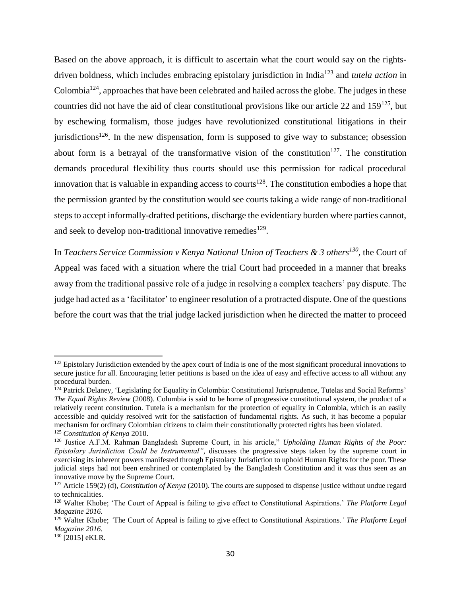Based on the above approach, it is difficult to ascertain what the court would say on the rightsdriven boldness, which includes embracing epistolary jurisdiction in India<sup>123</sup> and *tutela action* in Colombia<sup>124</sup>, approaches that have been celebrated and hailed across the globe. The judges in these countries did not have the aid of clear constitutional provisions like our article 22 and  $159^{125}$ , but by eschewing formalism, those judges have revolutionized constitutional litigations in their jurisdictions<sup>126</sup>. In the new dispensation, form is supposed to give way to substance; obsession about form is a betrayal of the transformative vision of the constitution<sup>127</sup>. The constitution demands procedural flexibility thus courts should use this permission for radical procedural innovation that is valuable in expanding access to courts<sup>128</sup>. The constitution embodies a hope that the permission granted by the constitution would see courts taking a wide range of non-traditional steps to accept informally-drafted petitions, discharge the evidentiary burden where parties cannot, and seek to develop non-traditional innovative remedies  $129$ .

In *Teachers Service Commission v Kenya National Union of Teachers & 3 others<sup>130</sup> ,* the Court of Appeal was faced with a situation where the trial Court had proceeded in a manner that breaks away from the traditional passive role of a judge in resolving a complex teachers' pay dispute. The judge had acted as a 'facilitator' to engineer resolution of a protracted dispute. One of the questions before the court was that the trial judge lacked jurisdiction when he directed the matter to proceed

l

<sup>&</sup>lt;sup>123</sup> Epistolary Jurisdiction extended by the apex court of India is one of the most significant procedural innovations to secure justice for all. Encouraging letter petitions is based on the idea of easy and effective access to all without any procedural burden.

<sup>&</sup>lt;sup>124</sup> Patrick Delaney, 'Legislating for Equality in Colombia: Constitutional Jurisprudence, Tutelas and Social Reforms' *The Equal Rights Review* (2008). Columbia is said to be home of progressive constitutional system, the product of a relatively recent constitution. Tutela is a mechanism for the protection of equality in Colombia, which is an easily accessible and quickly resolved writ for the satisfaction of fundamental rights. As such, it has become a popular mechanism for ordinary Colombian citizens to claim their constitutionally protected rights has been violated. <sup>125</sup> *Constitution of Kenya* 2010.

<sup>126</sup> Justice A.F.M. Rahman Bangladesh Supreme Court, in his article," *Upholding Human Rights of the Poor: Epistolary Jurisdiction Could be Instrumental"*, discusses the progressive steps taken by the supreme court in exercising its inherent powers manifested through Epistolary Jurisdiction to uphold Human Rights for the poor. These judicial steps had not been enshrined or contemplated by the Bangladesh Constitution and it was thus seen as an innovative move by the Supreme Court.

<sup>127</sup> Article 159(2) (d), *Constitution of Kenya* (2010). The courts are supposed to dispense justice without undue regard to technicalities.

<sup>128</sup> Walter Khobe; 'The Court of Appeal is failing to give effect to Constitutional Aspirations.' *The Platform Legal Magazine 2016.*

<sup>129</sup> Walter Khobe; *'*The Court of Appeal is failing to give effect to Constitutional Aspirations.*' The Platform Legal Magazine 2016.*

<sup>&</sup>lt;sup>130</sup> [2015] eKLR.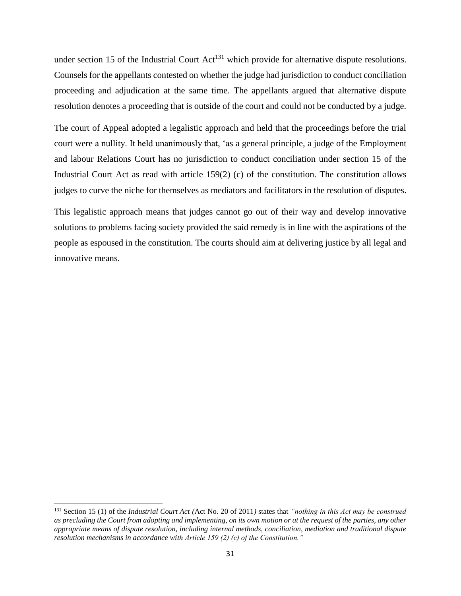under section 15 of the Industrial Court  $Act^{131}$  which provide for alternative dispute resolutions. Counsels for the appellants contested on whether the judge had jurisdiction to conduct conciliation proceeding and adjudication at the same time. The appellants argued that alternative dispute resolution denotes a proceeding that is outside of the court and could not be conducted by a judge.

The court of Appeal adopted a legalistic approach and held that the proceedings before the trial court were a nullity. It held unanimously that, 'as a general principle, a judge of the Employment and labour Relations Court has no jurisdiction to conduct conciliation under section 15 of the Industrial Court Act as read with article 159(2) (c) of the constitution. The constitution allows judges to curve the niche for themselves as mediators and facilitators in the resolution of disputes.

This legalistic approach means that judges cannot go out of their way and develop innovative solutions to problems facing society provided the said remedy is in line with the aspirations of the people as espoused in the constitution. The courts should aim at delivering justice by all legal and innovative means.

<sup>131</sup> Section 15 (1) of the *Industrial Court Act (*Act No. 20 of 2011*)* states that *"nothing in this Act may be construed as precluding the Court from adopting and implementing, on its own motion or at the request of the parties, any other appropriate means of dispute resolution, including internal methods, conciliation, mediation and traditional dispute resolution mechanisms in accordance with Article 159 (2) (c) of the Constitution."*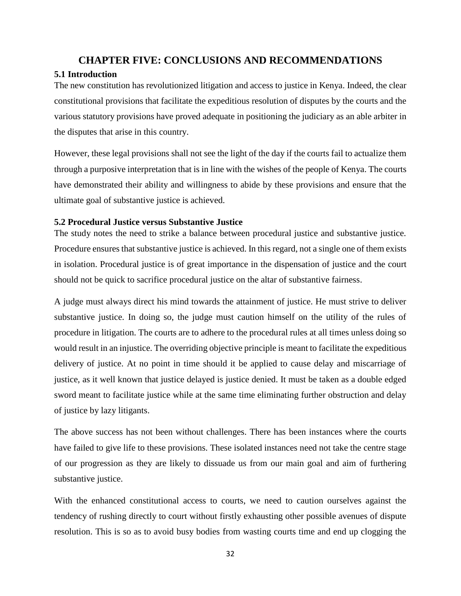# **CHAPTER FIVE: CONCLUSIONS AND RECOMMENDATIONS**

# <span id="page-39-1"></span><span id="page-39-0"></span>**5.1 Introduction**

The new constitution has revolutionized litigation and access to justice in Kenya. Indeed, the clear constitutional provisions that facilitate the expeditious resolution of disputes by the courts and the various statutory provisions have proved adequate in positioning the judiciary as an able arbiter in the disputes that arise in this country.

However, these legal provisions shall not see the light of the day if the courts fail to actualize them through a purposive interpretation that is in line with the wishes of the people of Kenya. The courts have demonstrated their ability and willingness to abide by these provisions and ensure that the ultimate goal of substantive justice is achieved.

## <span id="page-39-2"></span>**5.2 Procedural Justice versus Substantive Justice**

The study notes the need to strike a balance between procedural justice and substantive justice. Procedure ensures that substantive justice is achieved. In this regard, not a single one of them exists in isolation. Procedural justice is of great importance in the dispensation of justice and the court should not be quick to sacrifice procedural justice on the altar of substantive fairness.

A judge must always direct his mind towards the attainment of justice. He must strive to deliver substantive justice. In doing so, the judge must caution himself on the utility of the rules of procedure in litigation. The courts are to adhere to the procedural rules at all times unless doing so would result in an injustice. The overriding objective principle is meant to facilitate the expeditious delivery of justice. At no point in time should it be applied to cause delay and miscarriage of justice, as it well known that justice delayed is justice denied. It must be taken as a double edged sword meant to facilitate justice while at the same time eliminating further obstruction and delay of justice by lazy litigants.

The above success has not been without challenges. There has been instances where the courts have failed to give life to these provisions. These isolated instances need not take the centre stage of our progression as they are likely to dissuade us from our main goal and aim of furthering substantive justice.

With the enhanced constitutional access to courts, we need to caution ourselves against the tendency of rushing directly to court without firstly exhausting other possible avenues of dispute resolution. This is so as to avoid busy bodies from wasting courts time and end up clogging the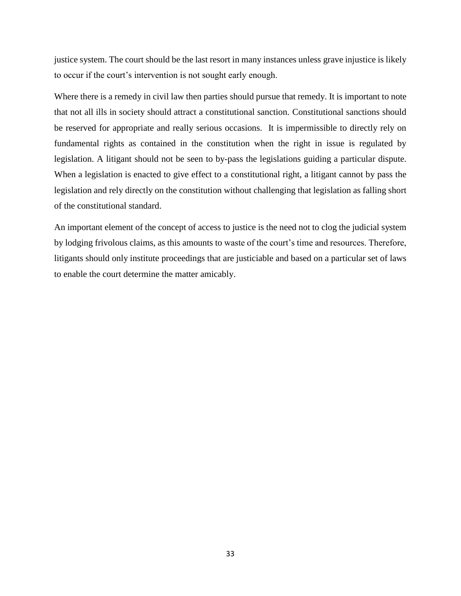justice system. The court should be the last resort in many instances unless grave injustice is likely to occur if the court's intervention is not sought early enough.

Where there is a remedy in civil law then parties should pursue that remedy. It is important to note that not all ills in society should attract a constitutional sanction. Constitutional sanctions should be reserved for appropriate and really serious occasions. It is impermissible to directly rely on fundamental rights as contained in the constitution when the right in issue is regulated by legislation. A litigant should not be seen to by-pass the legislations guiding a particular dispute. When a legislation is enacted to give effect to a constitutional right, a litigant cannot by pass the legislation and rely directly on the constitution without challenging that legislation as falling short of the constitutional standard.

An important element of the concept of access to justice is the need not to clog the judicial system by lodging frivolous claims, as this amounts to waste of the court's time and resources. Therefore, litigants should only institute proceedings that are justiciable and based on a particular set of laws to enable the court determine the matter amicably.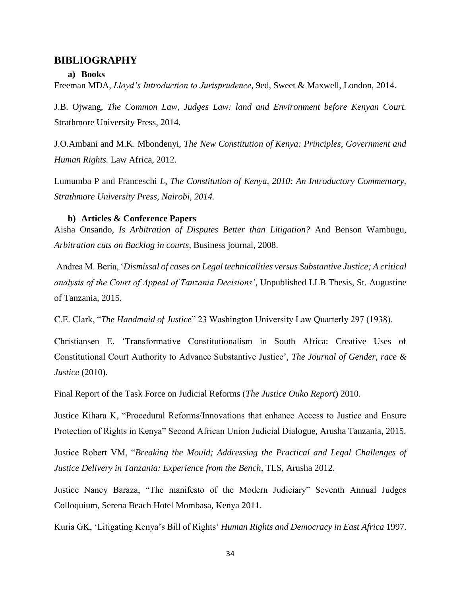#### <span id="page-41-1"></span><span id="page-41-0"></span>**BIBLIOGRAPHY**

#### **a) Books**

Freeman MDA, *Lloyd's Introduction to Jurisprudence*, 9ed, Sweet & Maxwell, London, 2014.

J.B. Ojwang, *The Common Law, Judges Law: land and Environment before Kenyan Court.*  Strathmore University Press, 2014.

J.O.Ambani and M.K. Mbondenyi, *The New Constitution of Kenya: Principles, Government and Human Rights.* Law Africa, 2012.

Lumumba P and Franceschi *L, The Constitution of Kenya, 2010: An Introductory Commentary, Strathmore University Press, Nairobi, 2014.*

#### **b) Articles & Conference Papers**

<span id="page-41-2"></span>Aisha Onsando, *Is Arbitration of Disputes Better than Litigation?* And Benson Wambugu, *Arbitration cuts on Backlog in courts*, Business journal, 2008.

Andrea M. Beria, '*Dismissal of cases on Legal technicalities versus Substantive Justice; A critical analysis of the Court of Appeal of Tanzania Decisions'*, Unpublished LLB Thesis, St. Augustine of Tanzania, 2015.

C.E. Clark, "*The Handmaid of Justice*" 23 Washington University Law Quarterly 297 (1938).

Christiansen E, 'Transformative Constitutionalism in South Africa: Creative Uses of Constitutional Court Authority to Advance Substantive Justice', *The Journal of Gender, race & Justice* (2010).

Final Report of the Task Force on Judicial Reforms (*The Justice Ouko Report*) 2010.

Justice Kihara K, "Procedural Reforms/Innovations that enhance Access to Justice and Ensure Protection of Rights in Kenya" Second African Union Judicial Dialogue, Arusha Tanzania, 2015.

Justice Robert VM, "*Breaking the Mould; Addressing the Practical and Legal Challenges of Justice Delivery in Tanzania: Experience from the Bench*, TLS, Arusha 2012.

Justice Nancy Baraza, "The manifesto of the Modern Judiciary" Seventh Annual Judges Colloquium, Serena Beach Hotel Mombasa, Kenya 2011.

Kuria GK, 'Litigating Kenya's Bill of Rights' *Human Rights and Democracy in East Africa* 1997.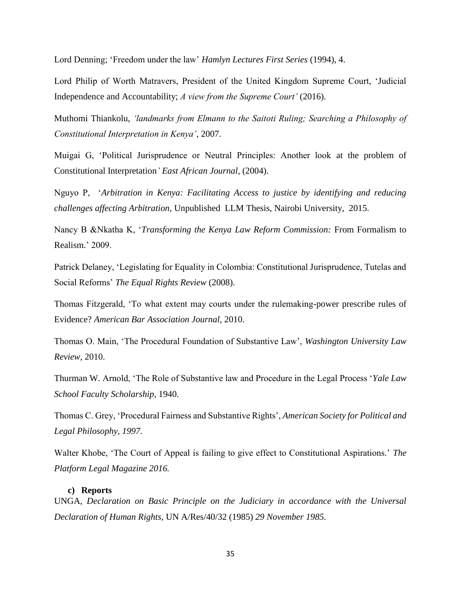Lord Denning; 'Freedom under the law' *Hamlyn Lectures First Series* (1994), 4.

Lord Philip of Worth Matravers, President of the United Kingdom Supreme Court, 'Judicial Independence and Accountability; *A view from the Supreme Court'* (2016).

Muthomi Thiankolu, *'landmarks from Elmann to the Saitoti Ruling; Searching a Philosophy of Constitutional Interpretation in Kenya'*, 2007.

Muigai G, 'Political Jurisprudence or Neutral Principles: Another look at the problem of Constitutional Interpretation*' East African Journal*, (2004).

Nguyo P, '*Arbitration in Kenya: Facilitating Access to justice by identifying and reducing challenges affecting Arbitration*, Unpublished LLM Thesis, Nairobi University, 2015.

Nancy B &Nkatha K, '*Transforming the Kenya Law Reform Commission:* From Formalism to Realism*.*' 2009.

Patrick Delaney, 'Legislating for Equality in Colombia: Constitutional Jurisprudence, Tutelas and Social Reforms' *The Equal Rights Review* (2008).

Thomas Fitzgerald, 'To what extent may courts under the rulemaking-power prescribe rules of Evidence? *American Bar Association Journal*, 2010.

Thomas O. Main, 'The Procedural Foundation of Substantive Law', *Washington University Law Review,* 2010.

Thurman W. Arnold, 'The Role of Substantive law and Procedure in the Legal Process '*Yale Law School Faculty Scholarship*, 1940.

Thomas C. Grey, 'Procedural Fairness and Substantive Rights', *American Society for Political and Legal Philosophy, 1997.*

Walter Khobe, 'The Court of Appeal is failing to give effect to Constitutional Aspirations.' *The Platform Legal Magazine 2016.*

#### **c) Reports**

<span id="page-42-0"></span>UNGA, *Declaration on Basic Principle on the Judiciary in accordance with the Universal Declaration of Human Rights,* UN A/Res/40/32 (1985) *29 November 1985.*